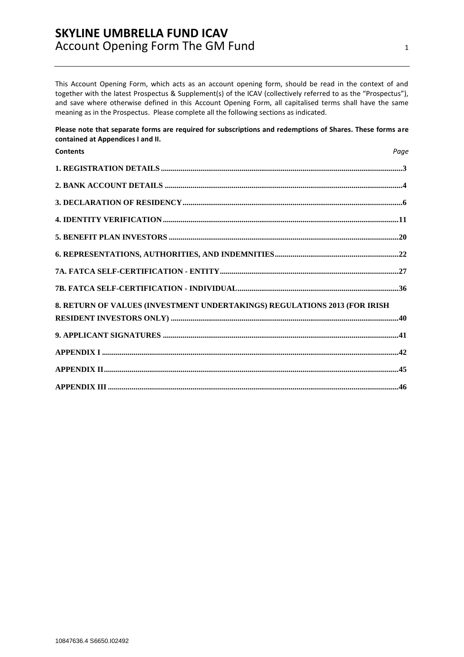This Account Opening Form, which acts as an account opening form, should be read in the context of and together with the latest Prospectus & Supplement(s) of the ICAV (collectively referred to as the "Prospectus"), and save where otherwise defined in this Account Opening Form, all capitalised terms shall have the same meaning as in the Prospectus. Please complete all the following sections as indicated.

**Please note that separate forms are required for subscriptions and redemptions of Shares. These forms are contained at Appendices I and II.**

| <b>Contents</b>                                                           | Page |
|---------------------------------------------------------------------------|------|
|                                                                           |      |
|                                                                           |      |
|                                                                           |      |
|                                                                           |      |
|                                                                           |      |
|                                                                           |      |
|                                                                           |      |
|                                                                           |      |
| 8. RETURN OF VALUES (INVESTMENT UNDERTAKINGS) REGULATIONS 2013 (FOR IRISH |      |
|                                                                           |      |
|                                                                           |      |
|                                                                           |      |
|                                                                           |      |
|                                                                           |      |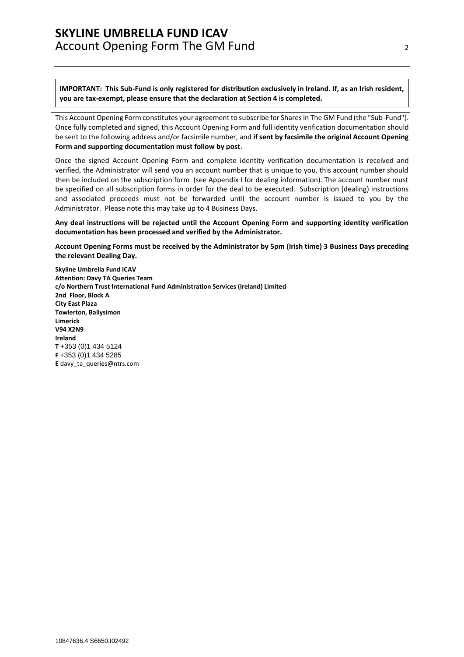**IMPORTANT: This Sub-Fund is only registered for distribution exclusively in Ireland. If, as an Irish resident, you are tax-exempt, please ensure that the declaration at Section 4 is completed.**

This Account Opening Form constitutes your agreement to subscribe for Shares in The GM Fund (the "Sub-Fund"). Once fully completed and signed, this Account Opening Form and full identity verification documentation should be sent to the following address and/or facsimile number, and **if sent by facsimile the original Account Opening Form and supporting documentation must follow by post**.

Once the signed Account Opening Form and complete identity verification documentation is received and verified, the Administrator will send you an account number that is unique to you, this account number should then be included on the subscription form (see Appendix I for dealing information). The account number must be specified on all subscription forms in order for the deal to be executed. Subscription (dealing) instructions and associated proceeds must not be forwarded until the account number is issued to you by the Administrator. Please note this may take up to 4 Business Days.

**Any deal instructions will be rejected until the Account Opening Form and supporting identity verification documentation has been processed and verified by the Administrator.**

**Account Opening Forms must be received by the Administrator by 5pm (Irish time) 3 Business Days preceding the relevant Dealing Day.**

**Skyline Umbrella Fund ICAV Attention: Davy TA Queries Team c/o Northern Trust International Fund Administration Services (Ireland) Limited 2nd Floor, Block A City East Plaza Towlerton, Ballysimon Limerick V94 X2N9 Ireland T** +353 (0)1 434 5124 **F** +353 (0)1 434 5285 **E** [davy\\_ta\\_queries@ntrs.com](mailto:davy_ta_queries@ntrs.com)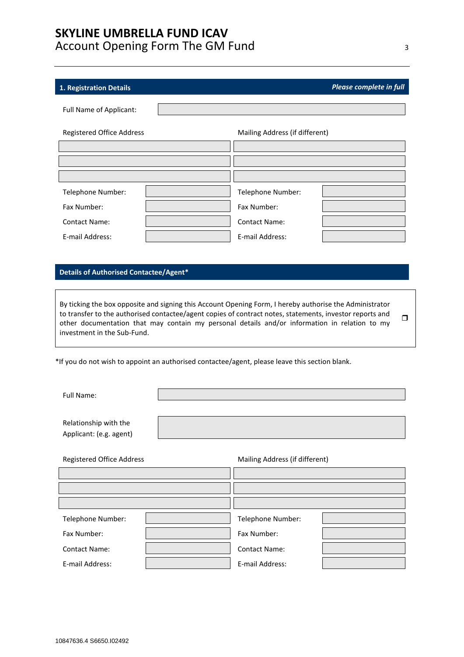### <span id="page-2-0"></span>**1. Registration Details** *Please complete in full*

| Full Name of Applicant:   |                                |  |  |
|---------------------------|--------------------------------|--|--|
|                           |                                |  |  |
| Registered Office Address | Mailing Address (if different) |  |  |
|                           |                                |  |  |
|                           |                                |  |  |
|                           |                                |  |  |
|                           |                                |  |  |
| Telephone Number:         | Telephone Number:              |  |  |
| Fax Number:               | Fax Number:                    |  |  |
| <b>Contact Name:</b>      | <b>Contact Name:</b>           |  |  |
| E-mail Address:           | E-mail Address:                |  |  |

### **Details of Authorised Contactee/Agent\***

By ticking the box opposite and signing this Account Opening Form, I hereby authorise the Administrator to transfer to the authorised contactee/agent copies of contract notes, statements, investor reports and other documentation that may contain my personal details and/or information in relation to my investment in the Sub-Fund.  $\Box$ 

\*If you do not wish to appoint an authorised contactee/agent, please leave this section blank.

Full Name:

Relationship with the Applicant: (e.g. agent)

Registered Office Address

| Mailing Address (if different |  |  |
|-------------------------------|--|--|
|-------------------------------|--|--|

| Telephone Number:    | Telephone Number:    |  |
|----------------------|----------------------|--|
| Fax Number:          | Fax Number:          |  |
| <b>Contact Name:</b> | <b>Contact Name:</b> |  |
| E-mail Address:      | E-mail Address:      |  |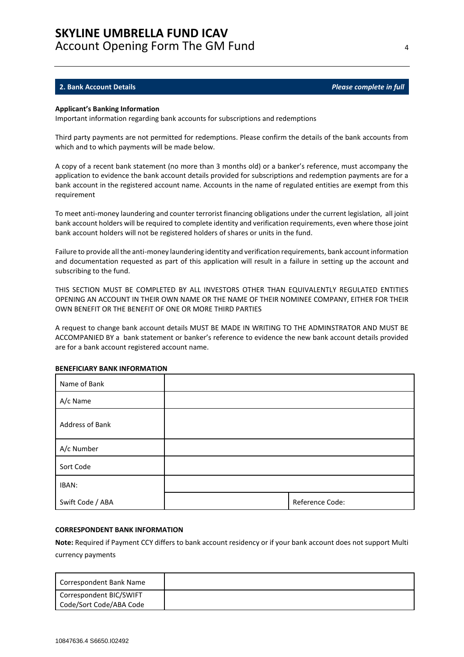#### <span id="page-3-0"></span>**2. Bank Account Details** *Please complete in full*

#### **Applicant's Banking Information**

Important information regarding bank accounts for subscriptions and redemptions

Third party payments are not permitted for redemptions. Please confirm the details of the bank accounts from which and to which payments will be made below.

A copy of a recent bank statement (no more than 3 months old) or a banker's reference, must accompany the application to evidence the bank account details provided for subscriptions and redemption payments are for a bank account in the registered account name. Accounts in the name of regulated entities are exempt from this requirement

To meet anti-money laundering and counter terrorist financing obligations under the current legislation, all joint bank account holders will be required to complete identity and verification requirements, even where those joint bank account holders will not be registered holders of shares or units in the fund.

Failure to provide all the anti-money laundering identity and verification requirements, bank account information and documentation requested as part of this application will result in a failure in setting up the account and subscribing to the fund.

THIS SECTION MUST BE COMPLETED BY ALL INVESTORS OTHER THAN EQUIVALENTLY REGULATED ENTITIES OPENING AN ACCOUNT IN THEIR OWN NAME OR THE NAME OF THEIR NOMINEE COMPANY, EITHER FOR THEIR OWN BENEFIT OR THE BENEFIT OF ONE OR MORE THIRD PARTIES

A request to change bank account details MUST BE MADE IN WRITING TO THE ADMINSTRATOR AND MUST BE ACCOMPANIED BY a bank statement or banker's reference to evidence the new bank account details provided are for a bank account registered account name.

| Name of Bank     |                 |
|------------------|-----------------|
| A/c Name         |                 |
| Address of Bank  |                 |
| A/c Number       |                 |
| Sort Code        |                 |
| IBAN:            |                 |
| Swift Code / ABA | Reference Code: |

#### **BENEFICIARY BANK INFORMATION**

#### **CORRESPONDENT BANK INFORMATION**

**Note:** Required if Payment CCY differs to bank account residency or if your bank account does not support Multi currency payments

| Correspondent Bank Name                            |  |
|----------------------------------------------------|--|
| Correspondent BIC/SWIFT<br>Code/Sort Code/ABA Code |  |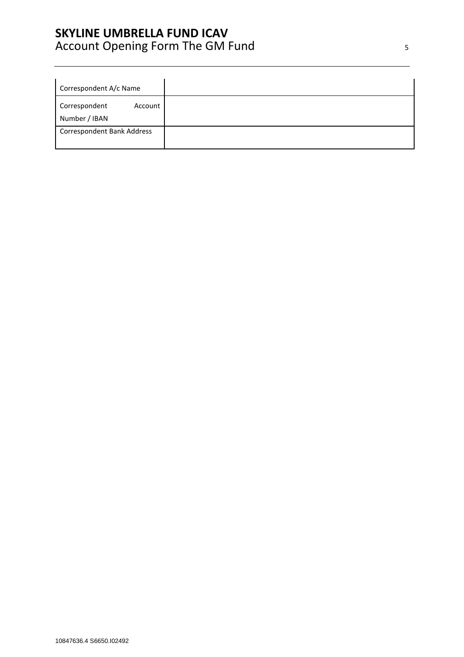| Correspondent A/c Name            |         |
|-----------------------------------|---------|
| Correspondent<br>Number / IBAN    | Account |
| <b>Correspondent Bank Address</b> |         |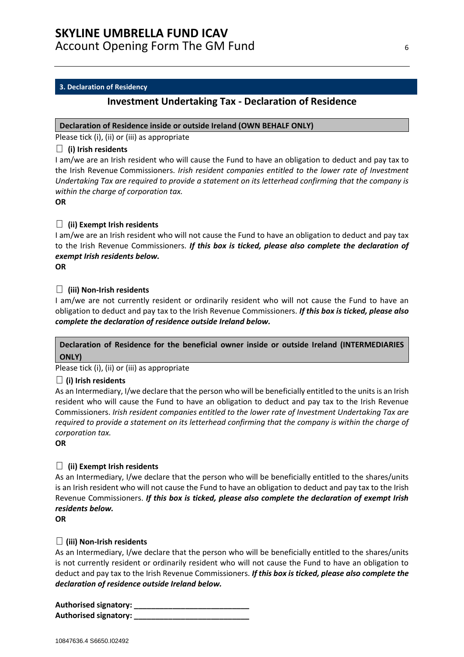### <span id="page-5-0"></span>**3. Declaration of Residency**

# **Investment Undertaking Tax - Declaration of Residence**

### **Declaration of Residence inside or outside Ireland (OWN BEHALF ONLY)**

Please tick (i), (ii) or (iii) as appropriate

### **(i) Irish residents**

I am/we are an Irish resident who will cause the Fund to have an obligation to deduct and pay tax to the Irish Revenue Commissioners. *Irish resident companies entitled to the lower rate of Investment Undertaking Tax are required to provide a statement on its letterhead confirming that the company is within the charge of corporation tax.*

**OR**

### **(ii) Exempt Irish residents**

I am/we are an Irish resident who will not cause the Fund to have an obligation to deduct and pay tax to the Irish Revenue Commissioners. *If this box is ticked, please also complete the declaration of exempt Irish residents below.*

**OR**

### **(iii) Non-Irish residents**

I am/we are not currently resident or ordinarily resident who will not cause the Fund to have an obligation to deduct and pay tax to the Irish Revenue Commissioners. *If this box is ticked, please also complete the declaration of residence outside Ireland below.*

# **Declaration of Residence for the beneficial owner inside or outside Ireland (INTERMEDIARIES ONLY)**

Please tick (i), (ii) or (iii) as appropriate

### **(i) Irish residents**

As an Intermediary, I/we declare that the person who will be beneficially entitled to the units is an Irish resident who will cause the Fund to have an obligation to deduct and pay tax to the Irish Revenue Commissioners. *Irish resident companies entitled to the lower rate of Investment Undertaking Tax are required to provide a statement on its letterhead confirming that the company is within the charge of corporation tax.*

**OR**

### **(ii) Exempt Irish residents**

As an Intermediary, I/we declare that the person who will be beneficially entitled to the shares/units is an Irish resident who will not cause the Fund to have an obligation to deduct and pay tax to the Irish Revenue Commissioners. *If this box is ticked, please also complete the declaration of exempt Irish residents below.*

**OR**

### **(iii) Non-Irish residents**

As an Intermediary, I/we declare that the person who will be beneficially entitled to the shares/units is not currently resident or ordinarily resident who will not cause the Fund to have an obligation to deduct and pay tax to the Irish Revenue Commissioners. *If this box is ticked, please also complete the declaration of residence outside Ireland below.*

**Authorised signatory: \_\_\_\_\_\_\_\_\_\_\_\_\_\_\_\_\_\_\_\_\_\_\_\_\_\_\_ Authorised signatory: \_\_\_\_\_\_\_\_\_\_\_\_\_\_\_\_\_\_\_\_\_\_\_\_\_\_\_**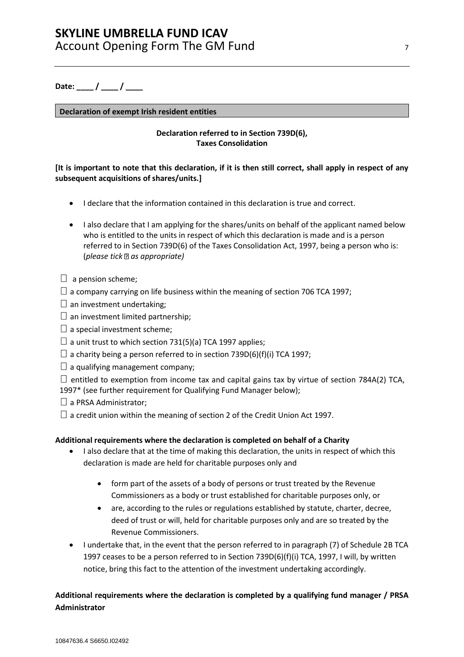Date: <u>/ / \_</u>

### **Declaration of exempt Irish resident entities**

### **Declaration referred to in Section 739D(6), Taxes Consolidation**

### **[It is important to note that this declaration, if it is then still correct, shall apply in respect of any subsequent acquisitions of shares/units.]**

- I declare that the information contained in this declaration is true and correct.
- I also declare that I am applying for the shares/units on behalf of the applicant named below who is entitled to the units in respect of which this declaration is made and is a person referred to in Section 739D(6) of the Taxes Consolidation Act, 1997, being a person who is: (*please tick as appropriate)*
- $\Box$  a pension scheme;
- $\Box$  a company carrying on life business within the meaning of section 706 TCA 1997;
- $\square$  an investment undertaking:
- $\Box$  an investment limited partnership;
- $\square$  a special investment scheme;
- $\Box$  a unit trust to which section 731(5)(a) TCA 1997 applies;
- $\Box$  a charity being a person referred to in section 739D(6)(f)(i) TCA 1997;
- $\Box$  a qualifying management company;

 $\Box$  entitled to exemption from income tax and capital gains tax by virtue of section 784A(2) TCA, 1997\* (see further requirement for Qualifying Fund Manager below);

- $\Box$  a PRSA Administrator;
- $\Box$  a credit union within the meaning of section 2 of the Credit Union Act 1997.

### **Additional requirements where the declaration is completed on behalf of a Charity**

- I also declare that at the time of making this declaration, the units in respect of which this declaration is made are held for charitable purposes only and
	- form part of the assets of a body of persons or trust treated by the Revenue Commissioners as a body or trust established for charitable purposes only, or
	- are, according to the rules or regulations established by statute, charter, decree, deed of trust or will, held for charitable purposes only and are so treated by the Revenue Commissioners.
- I undertake that, in the event that the person referred to in paragraph (7) of Schedule 2B TCA 1997 ceases to be a person referred to in Section 739D(6)(f)(i) TCA, 1997, I will, by written notice, bring this fact to the attention of the investment undertaking accordingly.

# **Additional requirements where the declaration is completed by a qualifying fund manager / PRSA Administrator**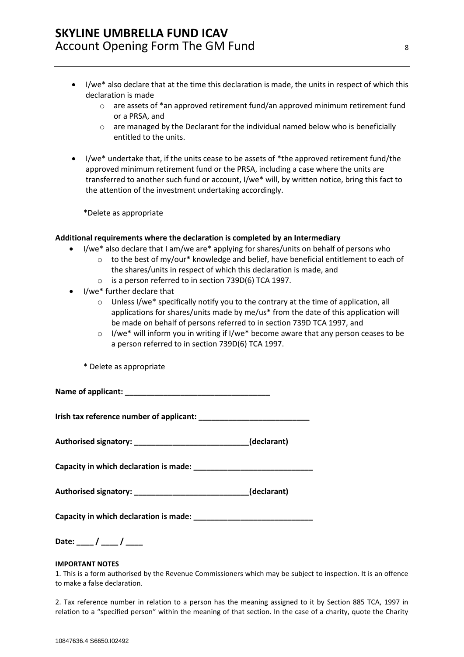- I/we\* also declare that at the time this declaration is made, the units in respect of which this declaration is made
	- o are assets of \*an approved retirement fund/an approved minimum retirement fund or a PRSA, and
	- $\circ$  are managed by the Declarant for the individual named below who is beneficially entitled to the units.
- I/we\* undertake that, if the units cease to be assets of \*the approved retirement fund/the approved minimum retirement fund or the PRSA, including a case where the units are transferred to another such fund or account, I/we\* will, by written notice, bring this fact to the attention of the investment undertaking accordingly.

\*Delete as appropriate

### **Additional requirements where the declaration is completed by an Intermediary**

- I/we\* also declare that I am/we are\* applying for shares/units on behalf of persons who
	- $\circ$  to the best of my/our\* knowledge and belief, have beneficial entitlement to each of the shares/units in respect of which this declaration is made, and
		- o is a person referred to in section 739D(6) TCA 1997.
- I/we\* further declare that
	- o Unless I/we\* specifically notify you to the contrary at the time of application, all applications for shares/units made by me/us\* from the date of this application will be made on behalf of persons referred to in section 739D TCA 1997, and
	- o I/we\* will inform you in writing if I/we\* become aware that any person ceases to be a person referred to in section 739D(6) TCA 1997.
	- \* Delete as appropriate

**Name of applicant: \_\_\_\_\_\_\_\_\_\_\_\_\_\_\_\_\_\_\_\_\_\_\_\_\_\_\_\_\_\_\_\_\_\_**

**Irish tax reference number of applicant: \_\_\_\_\_\_\_\_\_\_\_\_\_\_\_\_\_\_\_\_\_\_\_\_\_\_**

**Authorised signatory: \_\_\_\_\_\_\_\_\_\_\_\_\_\_\_\_\_\_\_\_\_\_\_\_\_\_\_(declarant)**

**Capacity in which declaration is made: \_\_\_\_\_\_\_\_\_\_\_\_\_\_\_\_\_\_\_\_\_\_\_\_\_\_\_\_**

**Authorised signatory: \_\_\_\_\_\_\_\_\_\_\_\_\_\_\_\_\_\_\_\_\_\_\_\_\_\_\_(declarant)**

Capacity in which declaration is made:

Date: <u>/ / / \_</u>

#### **IMPORTANT NOTES**

1. This is a form authorised by the Revenue Commissioners which may be subject to inspection. It is an offence to make a false declaration.

2. Tax reference number in relation to a person has the meaning assigned to it by Section 885 TCA, 1997 in relation to a "specified person" within the meaning of that section. In the case of a charity, quote the Charity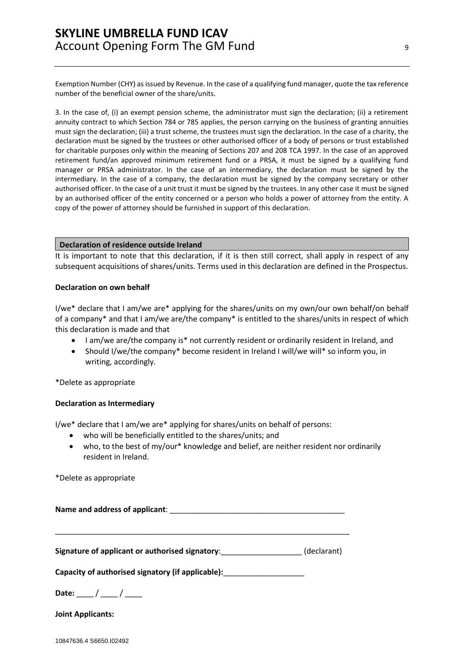Exemption Number (CHY) as issued by Revenue. In the case of a qualifying fund manager, quote the tax reference number of the beneficial owner of the share/units.

3. In the case of, (i) an exempt pension scheme, the administrator must sign the declaration; (ii) a retirement annuity contract to which Section 784 or 785 applies, the person carrying on the business of granting annuities must sign the declaration; (iii) a trust scheme, the trustees must sign the declaration. In the case of a charity, the declaration must be signed by the trustees or other authorised officer of a body of persons or trust established for charitable purposes only within the meaning of Sections 207 and 208 TCA 1997. In the case of an approved retirement fund/an approved minimum retirement fund or a PRSA, it must be signed by a qualifying fund manager or PRSA administrator. In the case of an intermediary, the declaration must be signed by the intermediary. In the case of a company, the declaration must be signed by the company secretary or other authorised officer. In the case of a unit trust it must be signed by the trustees. In any other case it must be signed by an authorised officer of the entity concerned or a person who holds a power of attorney from the entity. A copy of the power of attorney should be furnished in support of this declaration.

#### **Declaration of residence outside Ireland**

It is important to note that this declaration, if it is then still correct, shall apply in respect of any subsequent acquisitions of shares/units. Terms used in this declaration are defined in the Prospectus.

#### **Declaration on own behalf**

I/we\* declare that I am/we are\* applying for the shares/units on my own/our own behalf/on behalf of a company\* and that I am/we are/the company\* is entitled to the shares/units in respect of which this declaration is made and that

- I am/we are/the company is\* not currently resident or ordinarily resident in Ireland, and
- Should I/we/the company\* become resident in Ireland I will/we will\* so inform you, in writing, accordingly.

\*Delete as appropriate

#### **Declaration as Intermediary**

I/we\* declare that I am/we are\* applying for shares/units on behalf of persons:

- who will be beneficially entitled to the shares/units; and
- who, to the best of my/our\* knowledge and belief, are neither resident nor ordinarily resident in Ireland.

\*Delete as appropriate

**Name and address of applicant**: \_\_\_\_\_\_\_\_\_\_\_\_\_\_\_\_\_\_\_\_\_\_\_\_\_\_\_\_\_\_\_\_\_\_\_\_\_\_\_\_\_

\_\_\_\_\_\_\_\_\_\_\_\_\_\_\_\_\_\_\_\_\_\_\_\_\_\_\_\_\_\_\_\_\_\_\_\_\_\_\_\_\_\_\_\_\_\_\_\_\_\_\_\_\_\_\_\_\_\_\_\_\_\_\_\_\_\_\_\_\_

**Signature of applicant or authorised signatory**:\_\_\_\_\_\_\_\_\_\_\_\_\_\_\_\_\_\_\_ (declarant)

Capacity of authorised signatory (if applicable): \_\_\_\_\_\_\_\_\_\_\_\_\_\_\_\_\_\_\_\_\_\_\_\_\_\_\_\_\_\_\_

Date:  $\frac{1}{2}$  /  $\frac{1}{2}$ 

**Joint Applicants:**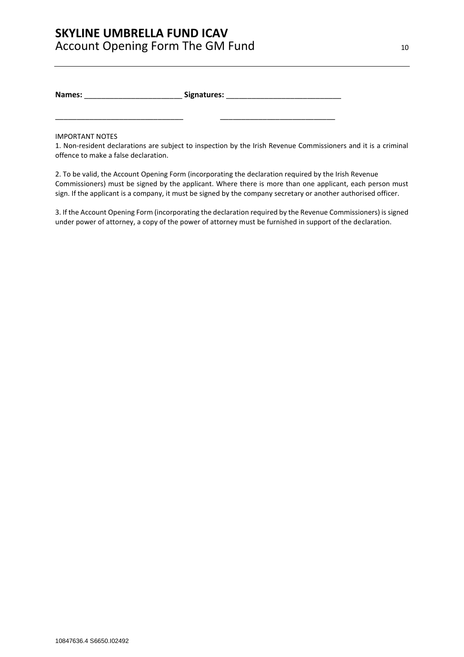**Names:** \_\_\_\_\_\_\_\_\_\_\_\_\_\_\_\_\_\_\_\_\_\_\_ **Signatures:** \_\_\_\_\_\_\_\_\_\_\_\_\_\_\_\_\_\_\_\_\_\_\_\_\_\_\_

\_\_\_\_\_\_\_\_\_\_\_\_\_\_\_\_\_\_\_\_\_\_\_\_\_\_\_\_\_\_ \_\_\_\_\_\_\_\_\_\_\_\_\_\_\_\_\_\_\_\_\_\_\_\_\_\_\_

IMPORTANT NOTES

1. Non-resident declarations are subject to inspection by the Irish Revenue Commissioners and it is a criminal offence to make a false declaration.

2. To be valid, the Account Opening Form (incorporating the declaration required by the Irish Revenue Commissioners) must be signed by the applicant. Where there is more than one applicant, each person must sign. If the applicant is a company, it must be signed by the company secretary or another authorised officer.

3. If the Account Opening Form (incorporating the declaration required by the Revenue Commissioners) is signed under power of attorney, a copy of the power of attorney must be furnished in support of the declaration.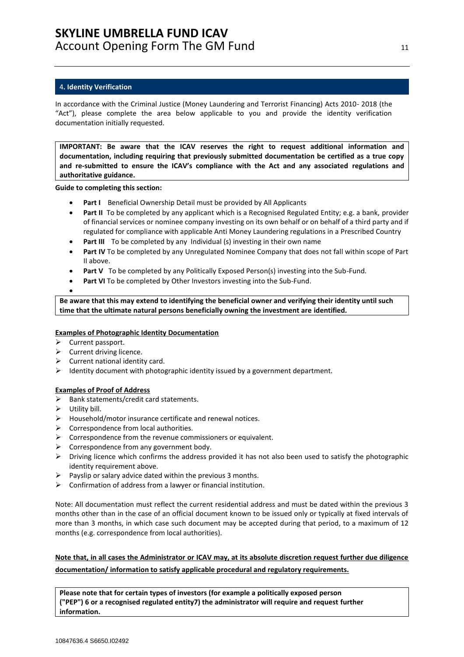### <span id="page-10-0"></span>4**. Identity Verification**

In accordance with the Criminal Justice (Money Laundering and Terrorist Financing) Acts 2010- 2018 (the "Act"), please complete the area below applicable to you and provide the identity verification documentation initially requested.

**IMPORTANT: Be aware that the ICAV reserves the right to request additional information and documentation, including requiring that previously submitted documentation be certified as a true copy and re-submitted to ensure the ICAV's compliance with the Act and any associated regulations and authoritative guidance.**

**Guide to completing this section:**

- Part I Beneficial Ownership Detail must be provided by All Applicants
- **Part II** To be completed by any applicant which is a Recognised Regulated Entity; e.g. a bank, provider of financial services or nominee company investing on its own behalf or on behalf of a third party and if regulated for compliance with applicable Anti Money Laundering regulations in a Prescribed Country
- **Part III** To be completed by any Individual (s) investing in their own name
- **Part IV** To be completed by any Unregulated Nominee Company that does not fall within scope of Part II above.
- **Part V** To be completed by any Politically Exposed Person(s) investing into the Sub-Fund.
- **Part VI** To be completed by Other Investors investing into the Sub-Fund.
- •

**Be aware that this may extend to identifying the beneficial owner and verifying their identity until such time that the ultimate natural persons beneficially owning the investment are identified.**

### **Examples of Photographic Identity Documentation**

- ➢ Current passport.
- $\triangleright$  Current driving licence.
- $\triangleright$  Current national identity card.
- ➢ Identity document with photographic identity issued by a government department.

### **Examples of Proof of Address**

- ➢ Bank statements/credit card statements.
- $\triangleright$  Utility bill.
- $\triangleright$  Household/motor insurance certificate and renewal notices.
- ➢ Correspondence from local authorities.
- $\triangleright$  Correspondence from the revenue commissioners or equivalent.
- $\triangleright$  Correspondence from any government body.
- $\triangleright$  Driving licence which confirms the address provided it has not also been used to satisfy the photographic identity requirement above.
- $\triangleright$  Payslip or salary advice dated within the previous 3 months.
- $\triangleright$  Confirmation of address from a lawyer or financial institution.

Note: All documentation must reflect the current residential address and must be dated within the previous 3 months other than in the case of an official document known to be issued only or typically at fixed intervals of more than 3 months, in which case such document may be accepted during that period, to a maximum of 12 months (e.g. correspondence from local authorities).

**Note that, in all cases the Administrator or ICAV may, at its absolute discretion request further due diligence documentation/ information to satisfy applicable procedural and regulatory requirements.** 

**Please note that for certain types of investors (for example a politically exposed person ("PEP") 6 or a recognised regulated entity7) the administrator will require and request further information.**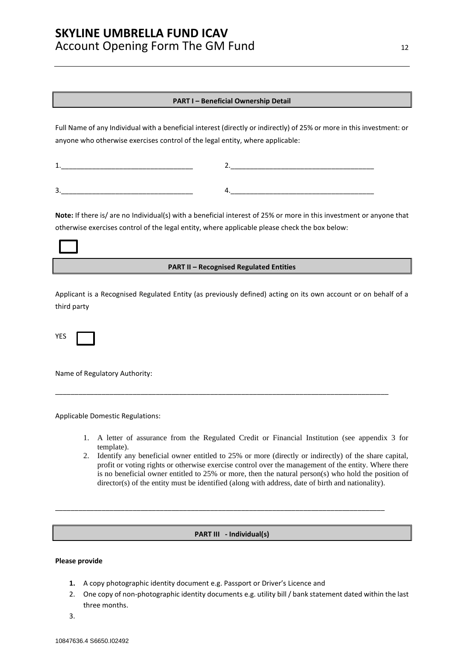#### **PART I – Beneficial Ownership Detail**

Full Name of any Individual with a beneficial interest (directly or indirectly) of 25% or more in this investment: or anyone who otherwise exercises control of the legal entity, where applicable:

| ے |  |
|---|--|

**Note:** If there is/ are no Individual(s) with a beneficial interest of 25% or more in this investment or anyone that otherwise exercises control of the legal entity, where applicable please check the box below:

#### **PART II – Recognised Regulated Entities**

Applicant is a Recognised Regulated Entity (as previously defined) acting on its own account or on behalf of a third party

\_\_\_\_\_\_\_\_\_\_\_\_\_\_\_\_\_\_\_\_\_\_\_\_\_\_\_\_\_\_\_\_\_\_\_\_\_\_\_\_\_\_\_\_\_\_\_\_\_\_\_\_\_\_\_\_\_\_\_\_\_\_\_\_\_\_\_\_\_\_\_\_\_\_\_\_\_\_\_\_\_\_\_\_\_\_

YES

Name of Regulatory Authority:

Applicable Domestic Regulations:

- 1. A letter of assurance from the Regulated Credit or Financial Institution (see appendix 3 for template).
- 2. Identify any beneficial owner entitled to 25% or more (directly or indirectly) of the share capital, profit or voting rights or otherwise exercise control over the management of the entity. Where there is no beneficial owner entitled to 25% or more, then the natural person(s) who hold the position of director(s) of the entity must be identified (along with address, date of birth and nationality).

#### **PART III - Individual(s)**

\_\_\_\_\_\_\_\_\_\_\_\_\_\_\_\_\_\_\_\_\_\_\_\_\_\_\_\_\_\_\_\_\_\_\_\_\_\_\_\_\_\_\_\_\_\_\_\_\_\_\_\_\_\_\_\_\_\_\_\_\_\_\_\_\_\_\_\_\_\_\_\_\_\_\_\_\_\_\_\_\_\_\_\_\_

### **Please provide**

- **1.** A copy photographic identity document e.g. Passport or Driver's Licence and
- 2. One copy of non-photographic identity documents e.g. utility bill / bank statement dated within the last three months.
- 3.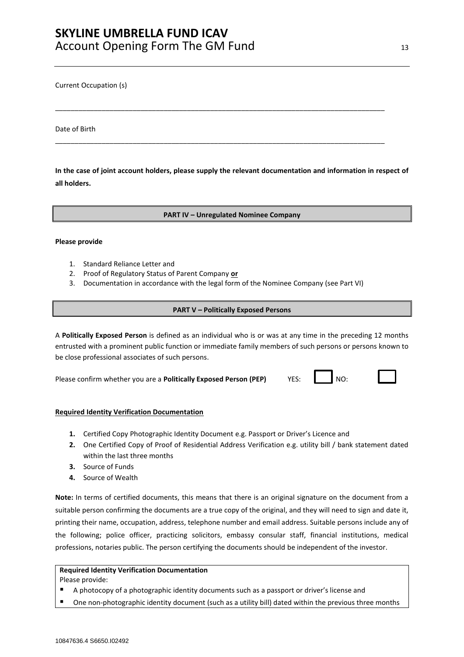Current Occupation (s)

Date of Birth

**In the case of joint account holders, please supply the relevant documentation and information in respect of all holders.** 

\_\_\_\_\_\_\_\_\_\_\_\_\_\_\_\_\_\_\_\_\_\_\_\_\_\_\_\_\_\_\_\_\_\_\_\_\_\_\_\_\_\_\_\_\_\_\_\_\_\_\_\_\_\_\_\_\_\_\_\_\_\_\_\_\_\_\_\_\_\_\_\_\_\_\_\_\_\_\_\_\_\_\_\_\_

\_\_\_\_\_\_\_\_\_\_\_\_\_\_\_\_\_\_\_\_\_\_\_\_\_\_\_\_\_\_\_\_\_\_\_\_\_\_\_\_\_\_\_\_\_\_\_\_\_\_\_\_\_\_\_\_\_\_\_\_\_\_\_\_\_\_\_\_\_\_\_\_\_\_\_\_\_\_\_\_\_\_\_\_\_

**PART IV – Unregulated Nominee Company**

#### **Please provide**

- 1. Standard Reliance Letter and
- 2. Proof of Regulatory Status of Parent Company **or**
- 3. Documentation in accordance with the legal form of the Nominee Company (see Part VI)

### **PART V – Politically Exposed Persons**

A **Politically Exposed Person** is defined as an individual who is or was at any time in the preceding 12 months entrusted with a prominent public function or immediate family members of such persons or persons known to be close professional associates of such persons.

Please confirm whether you are a **Politically Exposed Person (PEP)** YES: NO:

### **Required Identity Verification Documentation**

- **1.** Certified Copy Photographic Identity Document e.g. Passport or Driver's Licence and
- **2.** One Certified Copy of Proof of Residential Address Verification e.g. utility bill / bank statement dated within the last three months
- **3.** Source of Funds
- **4.** Source of Wealth

**Note:** In terms of certified documents, this means that there is an original signature on the document from a suitable person confirming the documents are a true copy of the original, and they will need to sign and date it, printing their name, occupation, address, telephone number and email address. Suitable persons include any of the following; police officer, practicing solicitors, embassy consular staff, financial institutions, medical professions, notaries public. The person certifying the documents should be independent of the investor.

### **Required Identity Verification Documentation**

Please provide:

- A photocopy of a photographic identity documents such as a passport or driver's license and
- One non-photographic identity document (such as a utility bill) dated within the previous three months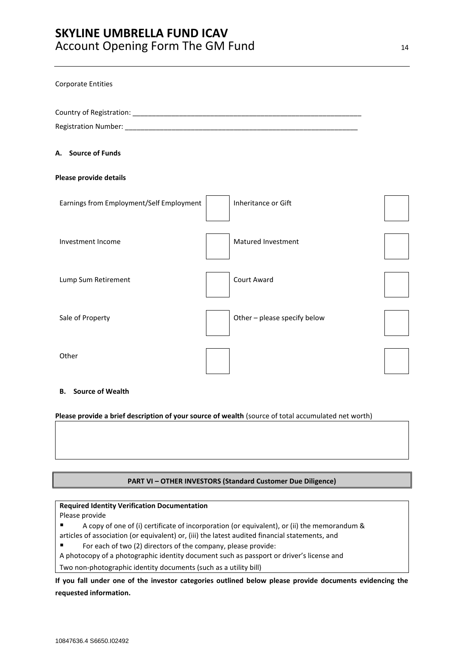| <b>Corporate Entities</b>                |                              |  |
|------------------------------------------|------------------------------|--|
|                                          |                              |  |
|                                          |                              |  |
| A. Source of Funds                       |                              |  |
| Please provide details                   |                              |  |
| Earnings from Employment/Self Employment | Inheritance or Gift          |  |
| Investment Income                        | Matured Investment           |  |
| Lump Sum Retirement                      | <b>Court Award</b>           |  |
| Sale of Property                         | Other - please specify below |  |
| Other                                    |                              |  |

#### **B. Source of Wealth**

**Please provide a brief description of your source of wealth** (source of total accumulated net worth)

# **PART VI – OTHER INVESTORS (Standard Customer Due Diligence)**

#### **Required Identity Verification Documentation**

Please provide

- A copy of one of (i) certificate of incorporation (or equivalent), or (ii) the memorandum & articles of association (or equivalent) or, (iii) the latest audited financial statements, and
- For each of two (2) directors of the company, please provide:
- A photocopy of a photographic identity document such as passport or driver's license and

Two non-photographic identity documents (such as a utility bill)

**If you fall under one of the investor categories outlined below please provide documents evidencing the requested information.**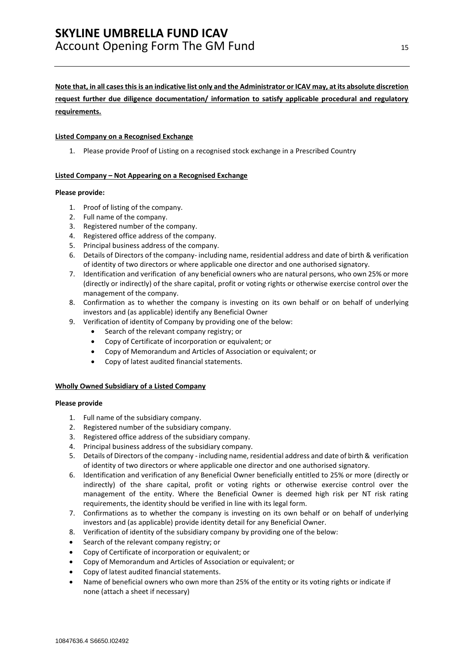#### **Note that, in all cases this is an indicative list only and the Administrator or ICAV may, at its absolute discretion**

**request further due diligence documentation/ information to satisfy applicable procedural and regulatory requirements.**

#### **Listed Company on a Recognised Exchange**

1. Please provide Proof of Listing on a recognised stock exchange in a Prescribed Country

#### **Listed Company – Not Appearing on a Recognised Exchange**

#### **Please provide:**

- 1. Proof of listing of the company.
- 2. Full name of the company.
- 3. Registered number of the company.
- 4. Registered office address of the company.
- 5. Principal business address of the company.
- 6. Details of Directors of the company- including name, residential address and date of birth & verification of identity of two directors or where applicable one director and one authorised signatory.
- 7. Identification and verification of any beneficial owners who are natural persons, who own 25% or more (directly or indirectly) of the share capital, profit or voting rights or otherwise exercise control over the management of the company.
- 8. Confirmation as to whether the company is investing on its own behalf or on behalf of underlying investors and (as applicable) identify any Beneficial Owner
- 9. Verification of identity of Company by providing one of the below:
	- Search of the relevant company registry; or
	- Copy of Certificate of incorporation or equivalent; or
	- Copy of Memorandum and Articles of Association or equivalent; or
	- Copy of latest audited financial statements.

#### **Wholly Owned Subsidiary of a Listed Company**

#### **Please provide**

- 1. Full name of the subsidiary company.
- 2. Registered number of the subsidiary company.
- 3. Registered office address of the subsidiary company.
- 4. Principal business address of the subsidiary company.
- 5. Details of Directors of the company including name, residential address and date of birth & verification of identity of two directors or where applicable one director and one authorised signatory.
- 6. Identification and verification of any Beneficial Owner beneficially entitled to 25% or more (directly or indirectly) of the share capital, profit or voting rights or otherwise exercise control over the management of the entity. Where the Beneficial Owner is deemed high risk per NT risk rating requirements, the identity should be verified in line with its legal form.
- 7. Confirmations as to whether the company is investing on its own behalf or on behalf of underlying investors and (as applicable) provide identity detail for any Beneficial Owner.
- 8. Verification of identity of the subsidiary company by providing one of the below:
- Search of the relevant company registry; or
- Copy of Certificate of incorporation or equivalent; or
- Copy of Memorandum and Articles of Association or equivalent; or
- Copy of latest audited financial statements.
- Name of beneficial owners who own more than 25% of the entity or its voting rights or indicate if none (attach a sheet if necessary)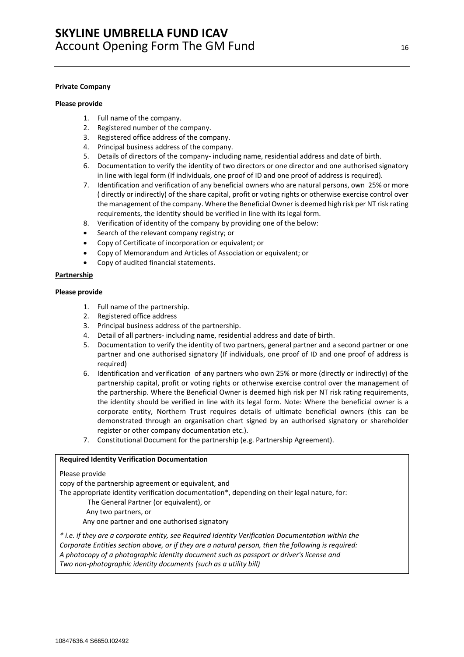#### **Private Company**

#### **Please provide**

- 1. Full name of the company.
- 2. Registered number of the company.
- 3. Registered office address of the company.
- 4. Principal business address of the company.
- 5. Details of directors of the company- including name, residential address and date of birth.
- 6. Documentation to verify the identity of two directors or one director and one authorised signatory in line with legal form (If individuals, one proof of ID and one proof of address is required).
- 7. Identification and verification of any beneficial owners who are natural persons, own 25% or more ( directly or indirectly) of the share capital, profit or voting rights or otherwise exercise control over the management of the company. Where the Beneficial Owner is deemed high risk per NT risk rating requirements, the identity should be verified in line with its legal form.
- 8. Verification of identity of the company by providing one of the below:
- Search of the relevant company registry; or
- Copy of Certificate of incorporation or equivalent; or
- Copy of Memorandum and Articles of Association or equivalent; or
- Copy of audited financial statements.

#### **Partnership**

#### **Please provide**

- 1. Full name of the partnership.
- 2. Registered office address
- 3. Principal business address of the partnership.
- 4. Detail of all partners- including name, residential address and date of birth.
- 5. Documentation to verify the identity of two partners, general partner and a second partner or one partner and one authorised signatory (If individuals, one proof of ID and one proof of address is required)
- 6. Identification and verification of any partners who own 25% or more (directly or indirectly) of the partnership capital, profit or voting rights or otherwise exercise control over the management of the partnership. Where the Beneficial Owner is deemed high risk per NT risk rating requirements, the identity should be verified in line with its legal form. Note: Where the beneficial owner is a corporate entity, Northern Trust requires details of ultimate beneficial owners (this can be demonstrated through an organisation chart signed by an authorised signatory or shareholder register or other company documentation etc.).
- 7. Constitutional Document for the partnership (e.g. Partnership Agreement).

#### **Required Identity Verification Documentation**

#### Please provide

copy of the partnership agreement or equivalent, and

The appropriate identity verification documentation\*, depending on their legal nature, for:

- The General Partner (or equivalent), or
- Any two partners, or

Any one partner and one authorised signatory

*\* i.e. if they are a corporate entity, see Required Identity Verification Documentation within the Corporate Entities section above, or if they are a natural person, then the following is required: A photocopy of a photographic identity document such as passport or driver's license and Two non-photographic identity documents (such as a utility bill)*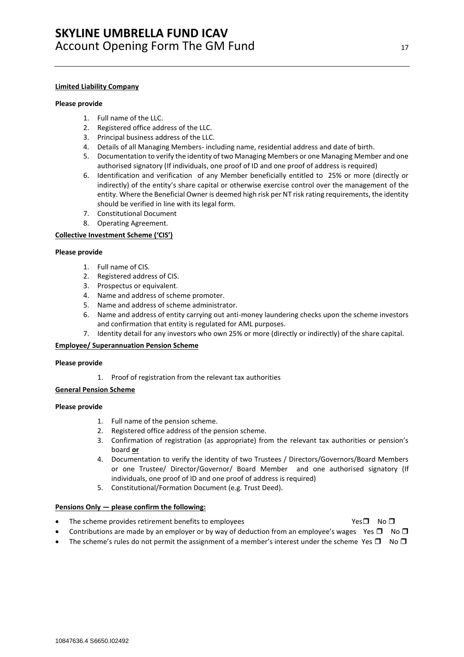#### **Limited Liability Company**

#### **Please provide**

- 1. Full name of the LLC.
- 2. Registered office address of the LLC.
- 3. Principal business address of the LLC.
- 4. Details of all Managing Members- including name, residential address and date of birth.
- 5. Documentation to verify the identity of two Managing Members or one Managing Member and one authorised signatory (If individuals, one proof of ID and one proof of address is required)
- 6. Identification and verification of any Member beneficially entitled to 25% or more (directly or indirectly) of the entity's share capital or otherwise exercise control over the management of the entity. Where the Beneficial Owner is deemed high risk per NT risk rating requirements, the identity should be verified in line with its legal form.
- 7. Constitutional Document
- 8. Operating Agreement.

#### **Collective Investment Scheme ('CIS')**

#### **Please provide**

- 1. Full name of CIS.
- 2. Registered address of CIS.
- 3. Prospectus or equivalent.
- 4. Name and address of scheme promoter.
- 5. Name and address of scheme administrator.
- 6. Name and address of entity carrying out anti-money laundering checks upon the scheme investors and confirmation that entity is regulated for AML purposes.
- 7. Identity detail for any investors who own 25% or more (directly or indirectly) of the share capital.

#### **Employee/ Superannuation Pension Scheme**

#### **Please provide**

1. Proof of registration from the relevant tax authorities

#### **General Pension Scheme**

#### **Please provide**

- 1. Full name of the pension scheme.
- 2. Registered office address of the pension scheme.
- 3. Confirmation of registration (as appropriate) from the relevant tax authorities or pension's board **or**
- 4. Documentation to verify the identity of two Trustees / Directors/Governors/Board Members or one Trustee/ Director/Governor/ Board Member and one authorised signatory (If individuals, one proof of ID and one proof of address is required)
- 5. Constitutional/Formation Document (e.g. Trust Deed).

#### **Pensions Only — please confirm the following:**

- The scheme provides retirement benefits to employees  $Yes \Box$  No  $\Box$
- Contributions are made by an employer or by way of deduction from an employee's wages Yes  $\Box$  No  $\Box$
- The scheme's rules do not permit the assignment of a member's interest under the scheme Yes  $\Box$  No  $\Box$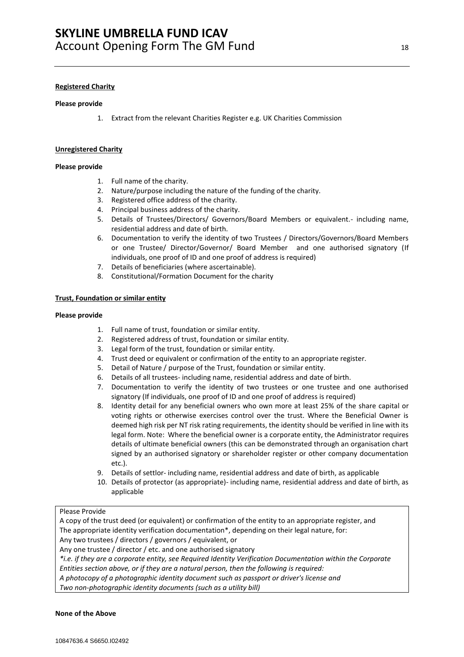#### **Registered Charity**

#### **Please provide**

1. Extract from the relevant Charities Register e.g. UK Charities Commission

#### **Unregistered Charity**

#### **Please provide**

- 1. Full name of the charity.
- 2. Nature/purpose including the nature of the funding of the charity.
- 3. Registered office address of the charity.
- 4. Principal business address of the charity.
- 5. Details of Trustees/Directors/ Governors/Board Members or equivalent.- including name, residential address and date of birth.
- 6. Documentation to verify the identity of two Trustees / Directors/Governors/Board Members or one Trustee/ Director/Governor/ Board Member and one authorised signatory (If individuals, one proof of ID and one proof of address is required)
- 7. Details of beneficiaries (where ascertainable).
- 8. Constitutional/Formation Document for the charity

#### **Trust, Foundation or similar entity**

#### **Please provide**

- 1. Full name of trust, foundation or similar entity.
- 2. Registered address of trust, foundation or similar entity.
- 3. Legal form of the trust, foundation or similar entity.
- 4. Trust deed or equivalent or confirmation of the entity to an appropriate register.
- 5. Detail of Nature / purpose of the Trust, foundation or similar entity.
- 6. Details of all trustees- including name, residential address and date of birth.
- 7. Documentation to verify the identity of two trustees or one trustee and one authorised signatory (If individuals, one proof of ID and one proof of address is required)
- 8. Identity detail for any beneficial owners who own more at least 25% of the share capital or voting rights or otherwise exercises control over the trust. Where the Beneficial Owner is deemed high risk per NT risk rating requirements, the identity should be verified in line with its legal form. Note: Where the beneficial owner is a corporate entity, the Administrator requires details of ultimate beneficial owners (this can be demonstrated through an organisation chart signed by an authorised signatory or shareholder register or other company documentation etc.).
- 9. Details of settlor- including name, residential address and date of birth, as applicable
- 10. Details of protector (as appropriate)- including name, residential address and date of birth, as applicable

#### Please Provide

A copy of the trust deed (or equivalent) or confirmation of the entity to an appropriate register, and The appropriate identity verification documentation\*, depending on their legal nature, for: Any two trustees / directors / governors / equivalent, or Any one trustee / director / etc. and one authorised signatory *\*i.e. if they are a corporate entity, see Required Identity Verification Documentation within the Corporate Entities section above, or if they are a natural person, then the following is required: A photocopy of a photographic identity document such as passport or driver's license and*

*Two non-photographic identity documents (such as a utility bill)*

#### **None of the Above**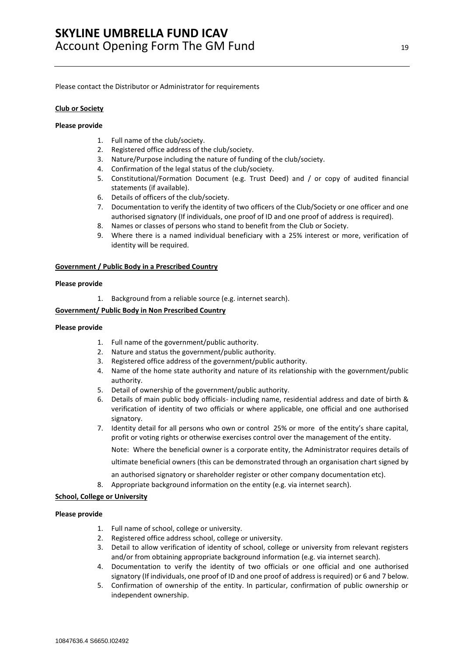Please contact the Distributor or Administrator for requirements

#### **Club or Society**

#### **Please provide**

- 1. Full name of the club/society.
- 2. Registered office address of the club/society.
- 3. Nature/Purpose including the nature of funding of the club/society.
- 4. Confirmation of the legal status of the club/society.
- 5. Constitutional/Formation Document (e.g. Trust Deed) and / or copy of audited financial statements (if available).
- 6. Details of officers of the club/society.
- 7. Documentation to verify the identity of two officers of the Club/Society or one officer and one authorised signatory (If individuals, one proof of ID and one proof of address is required).
- 8. Names or classes of persons who stand to benefit from the Club or Society.
- 9. Where there is a named individual beneficiary with a 25% interest or more, verification of identity will be required.

#### **Government / Public Body in a Prescribed Country**

#### **Please provide**

1. Background from a reliable source (e.g. internet search).

#### **Government/ Public Body in Non Prescribed Country**

#### **Please provide**

- 1. Full name of the government/public authority.
- 2. Nature and status the government/public authority.
- 3. Registered office address of the government/public authority.
- 4. Name of the home state authority and nature of its relationship with the government/public authority.
- 5. Detail of ownership of the government/public authority.
- 6. Details of main public body officials- including name, residential address and date of birth & verification of identity of two officials or where applicable, one official and one authorised signatory.
- 7. Identity detail for all persons who own or control 25% or more of the entity's share capital, profit or voting rights or otherwise exercises control over the management of the entity.

Note: Where the beneficial owner is a corporate entity, the Administrator requires details of ultimate beneficial owners (this can be demonstrated through an organisation chart signed by

an authorised signatory or shareholder register or other company documentation etc).

8. Appropriate background information on the entity (e.g. via internet search).

#### **School, College or University**

#### **Please provide**

- 1. Full name of school, college or university.
- 2. Registered office address school, college or university.
- 3. Detail to allow verification of identity of school, college or university from relevant registers and/or from obtaining appropriate background information (e.g. via internet search).
- 4. Documentation to verify the identity of two officials or one official and one authorised signatory (If individuals, one proof of ID and one proof of address is required) or 6 and 7 below.
- 5. Confirmation of ownership of the entity. In particular, confirmation of public ownership or independent ownership.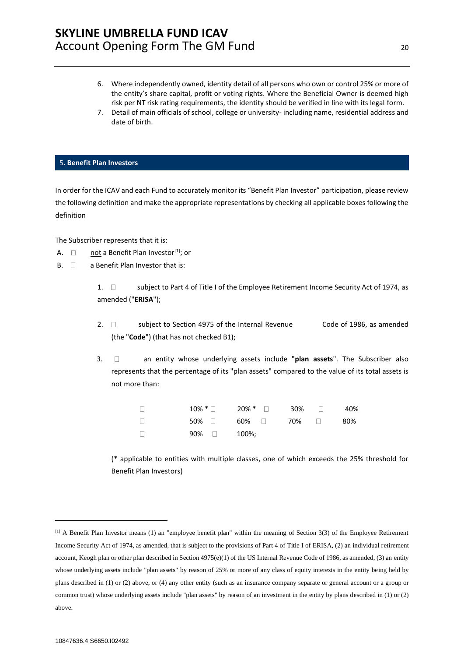- 6. Where independently owned, identity detail of all persons who own or control 25% or more of the entity's share capital, profit or voting rights. Where the Beneficial Owner is deemed high risk per NT risk rating requirements, the identity should be verified in line with its legal form.
- 7. Detail of main officials of school, college or university- including name, residential address and date of birth.

#### <span id="page-19-0"></span>5**. Benefit Plan Investors**

In order for the ICAV and each Fund to accurately monitor its "Benefit Plan Investor" participation, please review the following definition and make the appropriate representations by checking all applicable boxes following the definition

The Subscriber represents that it is:

- A.  $\Box$  not a Benefit Plan Investor<sup>[1]</sup>; or
- $B. \quad \Box \quad$  a Benefit Plan Investor that is:

1.  $\Box$  subject to Part 4 of Title I of the Employee Retirement Income Security Act of 1974, as amended ("**ERISA**");

- 2.  $\Box$  subject to Section 4975 of the Internal Revenue Code of 1986, as amended (the "**Code**") (that has not checked B1);
- 3. an entity whose underlying assets include "**plan assets**". The Subscriber also represents that the percentage of its "plan assets" compared to the value of its total assets is not more than:

| $\Box$ |              | $10\% * \Box$ 20% * $\Box$ 30% $\Box$ 40% |  |  |
|--------|--------------|-------------------------------------------|--|--|
| $\Box$ |              | $50\%$ $\Box$ 60% $\Box$ 70% $\Box$ 80%   |  |  |
| $\Box$ | $90\%$ 100%; |                                           |  |  |

(\* applicable to entities with multiple classes, one of which exceeds the 25% threshold for Benefit Plan Investors)

<sup>[1]</sup> A Benefit Plan Investor means (1) an "employee benefit plan" within the meaning of Section 3(3) of the Employee Retirement Income Security Act of 1974, as amended, that is subject to the provisions of Part 4 of Title I of ERISA, (2) an individual retirement account, Keogh plan or other plan described in Section 4975(e)(1) of the US Internal Revenue Code of 1986, as amended, (3) an entity whose underlying assets include "plan assets" by reason of 25% or more of any class of equity interests in the entity being held by plans described in (1) or (2) above, or (4) any other entity (such as an insurance company separate or general account or a group or common trust) whose underlying assets include "plan assets" by reason of an investment in the entity by plans described in (1) or (2) above.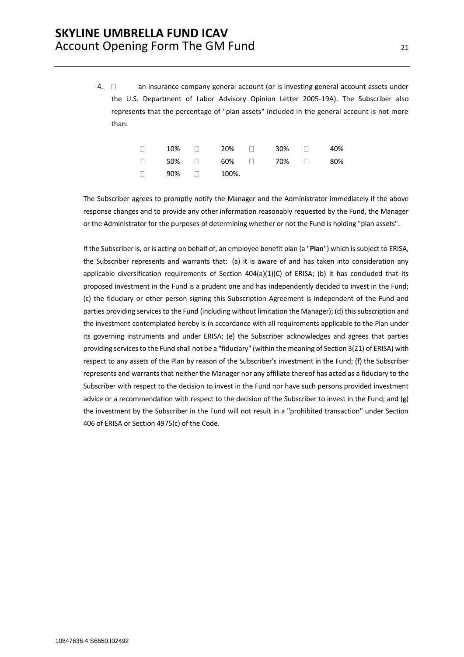4.  $\Box$  an insurance company general account (or is investing general account assets under the U.S. Department of Labor Advisory Opinion Letter 2005-19A). The Subscriber also represents that the percentage of "plan assets" included in the general account is not more than:

|  |                         | $\Box$ 10% $\Box$ 20% $\Box$ 30% $\Box$ 40% |  |
|--|-------------------------|---------------------------------------------|--|
|  |                         | $\Box$ 50% $\Box$ 60% $\Box$ 70% $\Box$ 80% |  |
|  | $\Box$ 90% $\Box$ 100%. |                                             |  |

The Subscriber agrees to promptly notify the Manager and the Administrator immediately if the above response changes and to provide any other information reasonably requested by the Fund, the Manager or the Administrator for the purposes of determining whether or not the Fund is holding "plan assets".

If the Subscriber is, or is acting on behalf of, an employee benefit plan (a "**Plan**") which is subject to ERISA, the Subscriber represents and warrants that: (a) it is aware of and has taken into consideration any applicable diversification requirements of Section  $404(a)(1)(C)$  of ERISA; (b) it has concluded that its proposed investment in the Fund is a prudent one and has independently decided to invest in the Fund; (c) the fiduciary or other person signing this Subscription Agreement is independent of the Fund and parties providing services to the Fund (including without limitation the Manager); (d) this subscription and the investment contemplated hereby is in accordance with all requirements applicable to the Plan under its governing instruments and under ERISA; (e) the Subscriber acknowledges and agrees that parties providing services to the Fund shall not be a "fiduciary" (within the meaning of Section 3(21) of ERISA) with respect to any assets of the Plan by reason of the Subscriber's investment in the Fund; (f) the Subscriber represents and warrants that neither the Manager nor any affiliate thereof has acted as a fiduciary to the Subscriber with respect to the decision to invest in the Fund nor have such persons provided investment advice or a recommendation with respect to the decision of the Subscriber to invest in the Fund; and (g) the investment by the Subscriber in the Fund will not result in a "prohibited transaction" under Section 406 of ERISA or Section 4975(c) of the Code.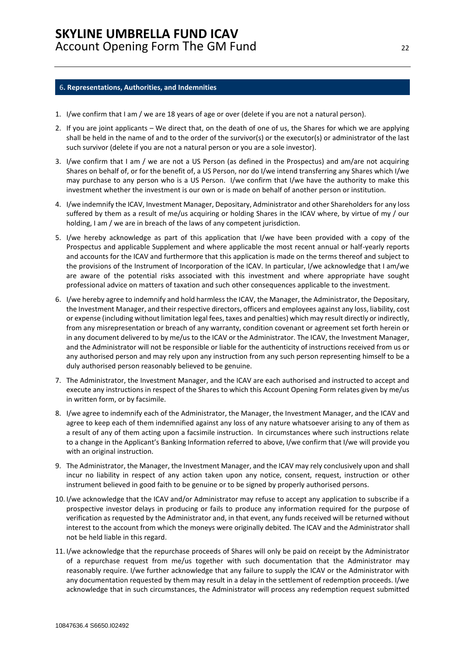#### <span id="page-21-0"></span>6**. Representations, Authorities, and Indemnities**

- 1. I/we confirm that I am / we are 18 years of age or over (delete if you are not a natural person).
- 2. If you are joint applicants We direct that, on the death of one of us, the Shares for which we are applying shall be held in the name of and to the order of the survivor(s) or the executor(s) or administrator of the last such survivor (delete if you are not a natural person or you are a sole investor).
- 3. I/we confirm that I am / we are not a US Person (as defined in the Prospectus) and am/are not acquiring Shares on behalf of, or for the benefit of, a US Person, nor do I/we intend transferring any Shares which I/we may purchase to any person who is a US Person. I/we confirm that I/we have the authority to make this investment whether the investment is our own or is made on behalf of another person or institution.
- 4. I/we indemnify the ICAV, Investment Manager, Depositary, Administrator and other Shareholders for any loss suffered by them as a result of me/us acquiring or holding Shares in the ICAV where, by virtue of my / our holding, I am / we are in breach of the laws of any competent jurisdiction.
- 5. I/we hereby acknowledge as part of this application that I/we have been provided with a copy of the Prospectus and applicable Supplement and where applicable the most recent annual or half-yearly reports and accounts for the ICAV and furthermore that this application is made on the terms thereof and subject to the provisions of the Instrument of Incorporation of the ICAV. In particular, I/we acknowledge that I am/we are aware of the potential risks associated with this investment and where appropriate have sought professional advice on matters of taxation and such other consequences applicable to the investment.
- 6. I/we hereby agree to indemnify and hold harmless the ICAV, the Manager, the Administrator, the Depositary, the Investment Manager, and their respective directors, officers and employees against any loss, liability, cost or expense (including without limitation legal fees, taxes and penalties) which may result directly or indirectly, from any misrepresentation or breach of any warranty, condition covenant or agreement set forth herein or in any document delivered to by me/us to the ICAV or the Administrator. The ICAV, the Investment Manager, and the Administrator will not be responsible or liable for the authenticity of instructions received from us or any authorised person and may rely upon any instruction from any such person representing himself to be a duly authorised person reasonably believed to be genuine.
- 7. The Administrator, the Investment Manager, and the ICAV are each authorised and instructed to accept and execute any instructions in respect of the Shares to which this Account Opening Form relates given by me/us in written form, or by facsimile.
- 8. I/we agree to indemnify each of the Administrator, the Manager, the Investment Manager, and the ICAV and agree to keep each of them indemnified against any loss of any nature whatsoever arising to any of them as a result of any of them acting upon a facsimile instruction. In circumstances where such instructions relate to a change in the Applicant's Banking Information referred to above, I/we confirm that I/we will provide you with an original instruction.
- 9. The Administrator, the Manager, the Investment Manager, and the ICAV may rely conclusively upon and shall incur no liability in respect of any action taken upon any notice, consent, request, instruction or other instrument believed in good faith to be genuine or to be signed by properly authorised persons.
- 10. I/we acknowledge that the ICAV and/or Administrator may refuse to accept any application to subscribe if a prospective investor delays in producing or fails to produce any information required for the purpose of verification as requested by the Administrator and, in that event, any funds received will be returned without interest to the account from which the moneys were originally debited. The ICAV and the Administrator shall not be held liable in this regard.
- 11. I/we acknowledge that the repurchase proceeds of Shares will only be paid on receipt by the Administrator of a repurchase request from me/us together with such documentation that the Administrator may reasonably require. I/we further acknowledge that any failure to supply the ICAV or the Administrator with any documentation requested by them may result in a delay in the settlement of redemption proceeds. I/we acknowledge that in such circumstances, the Administrator will process any redemption request submitted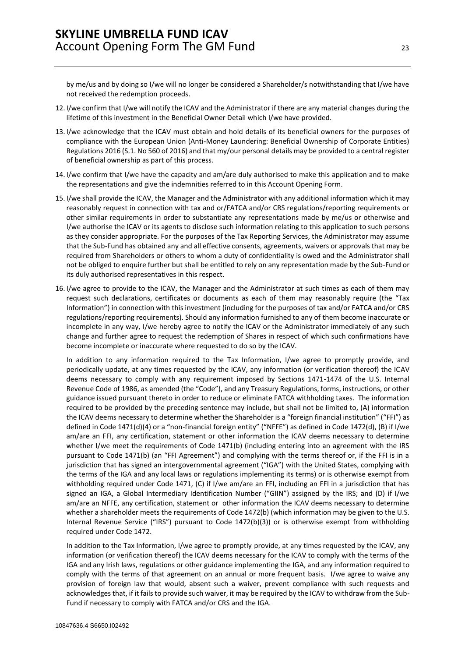by me/us and by doing so I/we will no longer be considered a Shareholder/s notwithstanding that I/we have not received the redemption proceeds.

- 12. I/we confirm that I/we will notify the ICAV and the Administrator if there are any material changes during the lifetime of this investment in the Beneficial Owner Detail which I/we have provided.
- 13. I/we acknowledge that the ICAV must obtain and hold details of its beneficial owners for the purposes of compliance with the European Union (Anti-Money Laundering: Beneficial Ownership of Corporate Entities) Regulations 2016 (S.1. No 560 of 2016) and that my/our personal details may be provided to a central register of beneficial ownership as part of this process.
- 14. I/we confirm that I/we have the capacity and am/are duly authorised to make this application and to make the representations and give the indemnities referred to in this Account Opening Form.
- 15. I/we shall provide the ICAV, the Manager and the Administrator with any additional information which it may reasonably request in connection with tax and or/FATCA and/or CRS regulations/reporting requirements or other similar requirements in order to substantiate any representations made by me/us or otherwise and I/we authorise the ICAV or its agents to disclose such information relating to this application to such persons as they consider appropriate. For the purposes of the Tax Reporting Services, the Administrator may assume that the Sub-Fund has obtained any and all effective consents, agreements, waivers or approvals that may be required from Shareholders or others to whom a duty of confidentiality is owed and the Administrator shall not be obliged to enquire further but shall be entitled to rely on any representation made by the Sub-Fund or its duly authorised representatives in this respect.
- 16. I/we agree to provide to the ICAV, the Manager and the Administrator at such times as each of them may request such declarations, certificates or documents as each of them may reasonably require (the "Tax Information") in connection with this investment (including for the purposes of tax and/or FATCA and/or CRS regulations/reporting requirements). Should any information furnished to any of them become inaccurate or incomplete in any way, I/we hereby agree to notify the ICAV or the Administrator immediately of any such change and further agree to request the redemption of Shares in respect of which such confirmations have become incomplete or inaccurate where requested to do so by the ICAV.

In addition to any information required to the Tax Information, I/we agree to promptly provide, and periodically update, at any times requested by the ICAV, any information (or verification thereof) the ICAV deems necessary to comply with any requirement imposed by Sections 1471-1474 of the U.S. Internal Revenue Code of 1986, as amended (the "Code"), and any Treasury Regulations, forms, instructions, or other guidance issued pursuant thereto in order to reduce or eliminate FATCA withholding taxes. The information required to be provided by the preceding sentence may include, but shall not be limited to, (A) information the ICAV deems necessary to determine whether the Shareholder is a "foreign financial institution" ("FFI") as defined in Code 1471(d)(4) or a "non-financial foreign entity" ("NFFE") as defined in Code 1472(d), (B) if I/we am/are an FFI, any certification, statement or other information the ICAV deems necessary to determine whether I/we meet the requirements of Code 1471(b) (including entering into an agreement with the IRS pursuant to Code 1471(b) (an "FFI Agreement") and complying with the terms thereof or, if the FFI is in a jurisdiction that has signed an intergovernmental agreement ("IGA") with the United States, complying with the terms of the IGA and any local laws or regulations implementing its terms) or is otherwise exempt from withholding required under Code 1471, (C) if I/we am/are an FFI, including an FFI in a jurisdiction that has signed an IGA, a Global Intermediary Identification Number ("GIIN") assigned by the IRS; and (D) if I/we am/are an NFFE, any certification, statement or other information the ICAV deems necessary to determine whether a shareholder meets the requirements of Code 1472(b) (which information may be given to the U.S. Internal Revenue Service ("IRS") pursuant to Code 1472(b)(3)) or is otherwise exempt from withholding required under Code 1472.

In addition to the Tax Information, I/we agree to promptly provide, at any times requested by the ICAV, any information (or verification thereof) the ICAV deems necessary for the ICAV to comply with the terms of the IGA and any Irish laws, regulations or other guidance implementing the IGA, and any information required to comply with the terms of that agreement on an annual or more frequent basis. I/we agree to waive any provision of foreign law that would, absent such a waiver, prevent compliance with such requests and acknowledges that, if it fails to provide such waiver, it may be required by the ICAV to withdraw from the Sub-Fund if necessary to comply with FATCA and/or CRS and the IGA.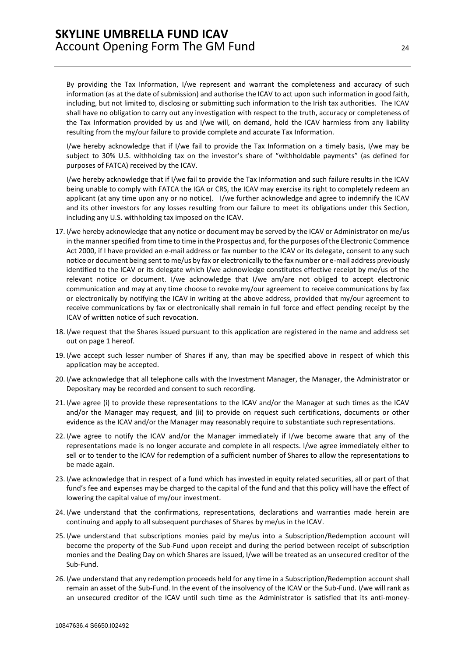By providing the Tax Information, I/we represent and warrant the completeness and accuracy of such information (as at the date of submission) and authorise the ICAV to act upon such information in good faith, including, but not limited to, disclosing or submitting such information to the Irish tax authorities. The ICAV shall have no obligation to carry out any investigation with respect to the truth, accuracy or completeness of the Tax Information provided by us and I/we will, on demand, hold the ICAV harmless from any liability resulting from the my/our failure to provide complete and accurate Tax Information.

I/we hereby acknowledge that if I/we fail to provide the Tax Information on a timely basis, I/we may be subject to 30% U.S. withholding tax on the investor's share of "withholdable payments" (as defined for purposes of FATCA) received by the ICAV.

I/we hereby acknowledge that if I/we fail to provide the Tax Information and such failure results in the ICAV being unable to comply with FATCA the IGA or CRS, the ICAV may exercise its right to completely redeem an applicant (at any time upon any or no notice). I/we further acknowledge and agree to indemnify the ICAV and its other investors for any losses resulting from our failure to meet its obligations under this Section, including any U.S. withholding tax imposed on the ICAV.

- 17. I/we hereby acknowledge that any notice or document may be served by the ICAV or Administrator on me/us in the manner specified from time to time in the Prospectus and, for the purposes of the Electronic Commence Act 2000, if I have provided an e-mail address or fax number to the ICAV or its delegate, consent to any such notice or document being sent to me/us by fax or electronically to the fax number or e-mail address previously identified to the ICAV or its delegate which I/we acknowledge constitutes effective receipt by me/us of the relevant notice or document. I/we acknowledge that I/we am/are not obliged to accept electronic communication and may at any time choose to revoke my/our agreement to receive communications by fax or electronically by notifying the ICAV in writing at the above address, provided that my/our agreement to receive communications by fax or electronically shall remain in full force and effect pending receipt by the ICAV of written notice of such revocation.
- 18. I/we request that the Shares issued pursuant to this application are registered in the name and address set out on page 1 hereof.
- 19. I/we accept such lesser number of Shares if any, than may be specified above in respect of which this application may be accepted.
- 20. I/we acknowledge that all telephone calls with the Investment Manager, the Manager, the Administrator or Depositary may be recorded and consent to such recording.
- 21. I/we agree (i) to provide these representations to the ICAV and/or the Manager at such times as the ICAV and/or the Manager may request, and (ii) to provide on request such certifications, documents or other evidence as the ICAV and/or the Manager may reasonably require to substantiate such representations.
- 22. I/we agree to notify the ICAV and/or the Manager immediately if I/we become aware that any of the representations made is no longer accurate and complete in all respects. I/we agree immediately either to sell or to tender to the ICAV for redemption of a sufficient number of Shares to allow the representations to be made again.
- 23. I/we acknowledge that in respect of a fund which has invested in equity related securities, all or part of that fund's fee and expenses may be charged to the capital of the fund and that this policy will have the effect of lowering the capital value of my/our investment.
- 24. I/we understand that the confirmations, representations, declarations and warranties made herein are continuing and apply to all subsequent purchases of Shares by me/us in the ICAV.
- 25. I/we understand that subscriptions monies paid by me/us into a Subscription/Redemption account will become the property of the Sub-Fund upon receipt and during the period between receipt of subscription monies and the Dealing Day on which Shares are issued, I/we will be treated as an unsecured creditor of the Sub-Fund.
- 26. I/we understand that any redemption proceeds held for any time in a Subscription/Redemption account shall remain an asset of the Sub-Fund. In the event of the insolvency of the ICAV or the Sub-Fund. I/we will rank as an unsecured creditor of the ICAV until such time as the Administrator is satisfied that its anti-money-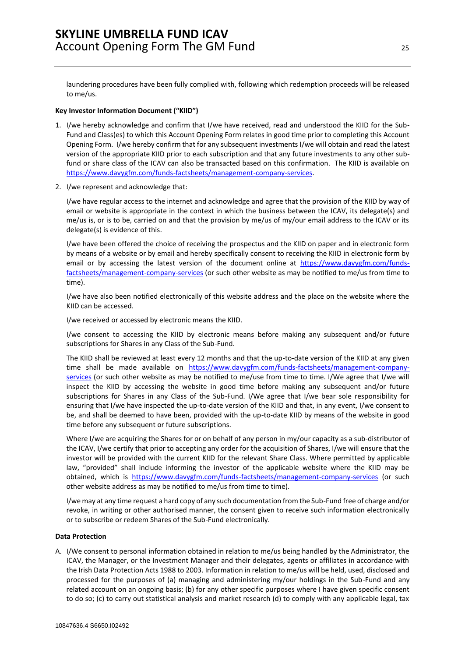laundering procedures have been fully complied with, following which redemption proceeds will be released to me/us.

#### **Key Investor Information Document ("KIID")**

- 1. I/we hereby acknowledge and confirm that I/we have received, read and understood the KIID for the Sub-Fund and Class(es) to which this Account Opening Form relates in good time prior to completing this Account Opening Form. I/we hereby confirm that for any subsequent investments I/we will obtain and read the latest version of the appropriate KIID prior to each subscription and that any future investments to any other subfund or share class of the ICAV can also be transacted based on this confirmation. The KIID is available on [https://www.davygfm.com/funds-factsheets/management-company-services.](https://www.davygfm.com/funds-factsheets/management-company-services)
- 2. I/we represent and acknowledge that:

I/we have regular access to the internet and acknowledge and agree that the provision of the KIID by way of email or website is appropriate in the context in which the business between the ICAV, its delegate(s) and me/us is, or is to be, carried on and that the provision by me/us of my/our email address to the ICAV or its delegate(s) is evidence of this.

I/we have been offered the choice of receiving the prospectus and the KIID on paper and in electronic form by means of a website or by email and hereby specifically consent to receiving the KIID in electronic form by email or by accessing the latest version of the document online at [https://www.davygfm.com/funds](https://www.davygfm.com/funds-factsheets/management-company-services)[factsheets/management-company-services](https://www.davygfm.com/funds-factsheets/management-company-services) (or such other website as may be notified to me/us from time to time).

I/we have also been notified electronically of this website address and the place on the website where the KIID can be accessed.

I/we received or accessed by electronic means the KIID.

I/we consent to accessing the KIID by electronic means before making any subsequent and/or future subscriptions for Shares in any Class of the Sub-Fund.

The KIID shall be reviewed at least every 12 months and that the up-to-date version of the KIID at any given time shall be made available on [https://www.davygfm.com/funds-factsheets/management-company](https://www.davygfm.com/funds-factsheets/management-company-services)[services](https://www.davygfm.com/funds-factsheets/management-company-services) (or such other website as may be notified to me/use from time to time. I/We agree that I/we will inspect the KIID by accessing the website in good time before making any subsequent and/or future subscriptions for Shares in any Class of the Sub-Fund. I/We agree that I/we bear sole responsibility for ensuring that I/we have inspected the up-to-date version of the KIID and that, in any event, I/we consent to be, and shall be deemed to have been, provided with the up-to-date KIID by means of the website in good time before any subsequent or future subscriptions.

Where I/we are acquiring the Shares for or on behalf of any person in my/our capacity as a sub-distributor of the ICAV, I/we certify that prior to accepting any order for the acquisition of Shares, I/we will ensure that the investor will be provided with the current KIID for the relevant Share Class. Where permitted by applicable law, "provided" shall include informing the investor of the applicable website where the KIID may be obtained, which is <https://www.davygfm.com/funds-factsheets/management-company-services> (or such other website address as may be notified to me/us from time to time).

I/we may at any time request a hard copy of any such documentation from the Sub-Fund free of charge and/or revoke, in writing or other authorised manner, the consent given to receive such information electronically or to subscribe or redeem Shares of the Sub-Fund electronically.

#### **Data Protection**

A. I/We consent to personal information obtained in relation to me/us being handled by the Administrator, the ICAV, the Manager, or the Investment Manager and their delegates, agents or affiliates in accordance with the Irish Data Protection Acts 1988 to 2003. Information in relation to me/us will be held, used, disclosed and processed for the purposes of (a) managing and administering my/our holdings in the Sub-Fund and any related account on an ongoing basis; (b) for any other specific purposes where I have given specific consent to do so; (c) to carry out statistical analysis and market research (d) to comply with any applicable legal, tax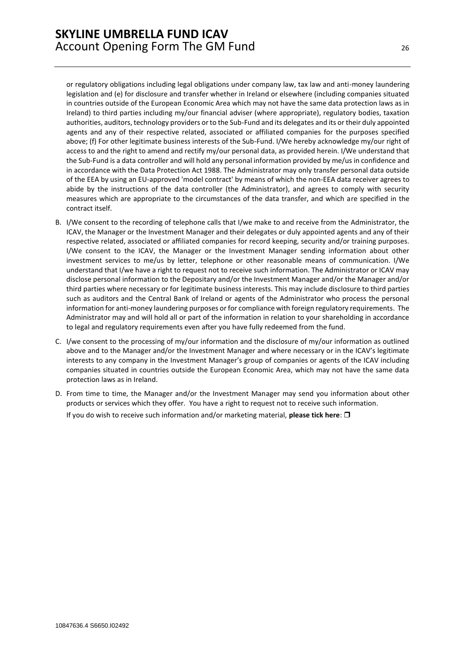or regulatory obligations including legal obligations under company law, tax law and anti-money laundering legislation and (e) for disclosure and transfer whether in Ireland or elsewhere (including companies situated in countries outside of the European Economic Area which may not have the same data protection laws as in Ireland) to third parties including my/our financial adviser (where appropriate), regulatory bodies, taxation authorities, auditors, technology providers or to the Sub-Fund and its delegates and its or their duly appointed agents and any of their respective related, associated or affiliated companies for the purposes specified above; (f) For other legitimate business interests of the Sub-Fund. I/We hereby acknowledge my/our right of access to and the right to amend and rectify my/our personal data, as provided herein. I/We understand that the Sub-Fund is a data controller and will hold any personal information provided by me/us in confidence and in accordance with the Data Protection Act 1988. The Administrator may only transfer personal data outside of the EEA by using an EU-approved 'model contract' by means of which the non-EEA data receiver agrees to abide by the instructions of the data controller (the Administrator), and agrees to comply with security measures which are appropriate to the circumstances of the data transfer, and which are specified in the contract itself.

- B. I/We consent to the recording of telephone calls that I/we make to and receive from the Administrator, the ICAV, the Manager or the Investment Manager and their delegates or duly appointed agents and any of their respective related, associated or affiliated companies for record keeping, security and/or training purposes. I/We consent to the ICAV, the Manager or the Investment Manager sending information about other investment services to me/us by letter, telephone or other reasonable means of communication. I/We understand that I/we have a right to request not to receive such information. The Administrator or ICAV may disclose personal information to the Depositary and/or the Investment Manager and/or the Manager and/or third parties where necessary or for legitimate business interests. This may include disclosure to third parties such as auditors and the Central Bank of Ireland or agents of the Administrator who process the personal information for anti-money laundering purposes or for compliance with foreign regulatory requirements. The Administrator may and will hold all or part of the information in relation to your shareholding in accordance to legal and regulatory requirements even after you have fully redeemed from the fund.
- C. I/we consent to the processing of my/our information and the disclosure of my/our information as outlined above and to the Manager and/or the Investment Manager and where necessary or in the ICAV's legitimate interests to any company in the Investment Manager's group of companies or agents of the ICAV including companies situated in countries outside the European Economic Area, which may not have the same data protection laws as in Ireland.
- D. From time to time, the Manager and/or the Investment Manager may send you information about other products or services which they offer. You have a right to request not to receive such information. If you do wish to receive such information and/or marketing material, **please tick here**: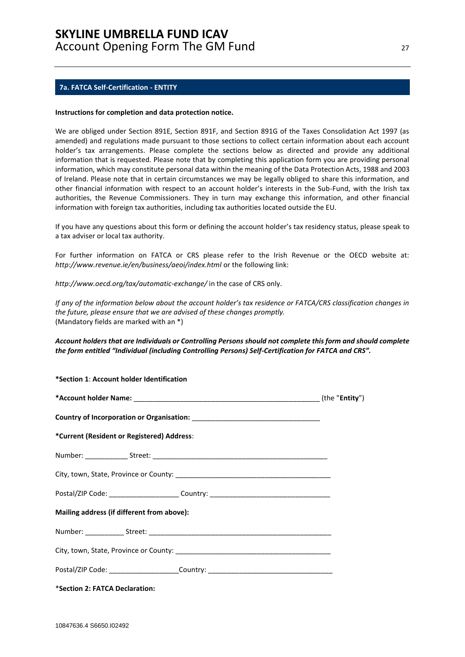#### <span id="page-26-0"></span>**7a. FATCA Self-Certification - ENTITY**

**\*Section 1**: **Account holder Identification** 

#### **Instructions for completion and data protection notice.**

We are obliged under Section 891E, Section 891F, and Section 891G of the Taxes Consolidation Act 1997 (as amended) and regulations made pursuant to those sections to collect certain information about each account holder's tax arrangements. Please complete the sections below as directed and provide any additional information that is requested. Please note that by completing this application form you are providing personal information, which may constitute personal data within the meaning of the Data Protection Acts, 1988 and 2003 of Ireland. Please note that in certain circumstances we may be legally obliged to share this information, and other financial information with respect to an account holder's interests in the Sub-Fund, with the Irish tax authorities, the Revenue Commissioners. They in turn may exchange this information, and other financial information with foreign tax authorities, including tax authorities located outside the EU.

If you have any questions about this form or defining the account holder's tax residency status, please speak to a tax adviser or local tax authority.

For further information on FATCA or CRS please refer to the Irish Revenue or the OECD website at: *http://www.revenue.ie/en/business/aeoi/index.html* or the following link:

*http://www.oecd.org/tax/automatic-exchange/* in the case of CRS only.

*If any of the information below about the account holder's tax residence or FATCA/CRS classification changes in the future, please ensure that we are advised of these changes promptly.*  (Mandatory fields are marked with an \*)

#### *Account holders that are Individuals or Controlling Persons should not complete this form and should complete the form entitled "Individual (including Controlling Persons) Self-Certification for FATCA and CRS".*

| Section 1. Account noiger identification                                         |  |
|----------------------------------------------------------------------------------|--|
|                                                                                  |  |
|                                                                                  |  |
| *Current (Resident or Registered) Address:                                       |  |
|                                                                                  |  |
|                                                                                  |  |
| Postal/ZIP Code: ________________________Country: ______________________________ |  |
| Mailing address (if different from above):                                       |  |
|                                                                                  |  |
|                                                                                  |  |
| Postal/ZIP Code: _______________________Country: _______________________________ |  |
| *Section 2: FATCA Declaration:                                                   |  |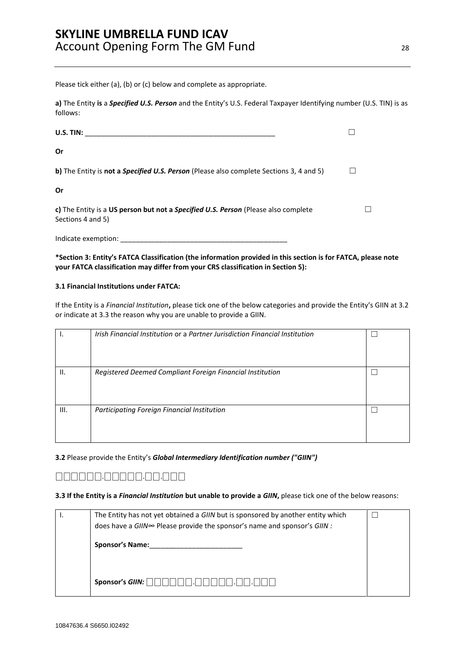Please tick either (a), (b) or (c) below and complete as appropriate.

**a)** The Entity **is** a *Specified U.S. Person* and the Entity's U.S. Federal Taxpayer Identifying number (U.S. TIN) is as follows:

| U.S. TIN:                                                                                                      |  |
|----------------------------------------------------------------------------------------------------------------|--|
| Or                                                                                                             |  |
| b) The Entity is not a <i>Specified U.S. Person</i> (Please also complete Sections 3, 4 and 5)                 |  |
| Or                                                                                                             |  |
| c) The Entity is a US person but not a <i>Specified U.S. Person</i> (Please also complete<br>Sections 4 and 5) |  |

**\*Section 3: Entity's FATCA Classification (the information provided in this section is for FATCA, please note your FATCA classification may differ from your CRS classification in Section 5):** 

#### **3.1 Financial Institutions under FATCA:**

Indicate exemption:

If the Entity is a *Financial Institution***,** please tick one of the below categories and provide the Entity's GIIN at 3.2 or indicate at 3.3 the reason why you are unable to provide a GIIN.

|      | Irish Financial Institution or a Partner Jurisdiction Financial Institution |  |
|------|-----------------------------------------------------------------------------|--|
| II.  | Registered Deemed Compliant Foreign Financial Institution                   |  |
| III. | Participating Foreign Financial Institution                                 |  |

#### **3.2** Please provide the Entity's *Global Intermediary Identification number ("GIIN")*

# ⎕⎕⎕⎕⎕⎕.⎕⎕⎕⎕⎕.⎕⎕.⎕⎕⎕

#### **3.3 If the Entity is a** *Financial Institution* **but unable to provide a** *GIIN***,** please tick one of the below reasons:

| The Entity has not yet obtained a GIIN but is sponsored by another entity which<br>does have a GIIN∞ Please provide the sponsor's name and sponsor's GIIN : |  |
|-------------------------------------------------------------------------------------------------------------------------------------------------------------|--|
| <b>Sponsor's Name:</b>                                                                                                                                      |  |
| Sponsor's $GIN:$                                                                                                                                            |  |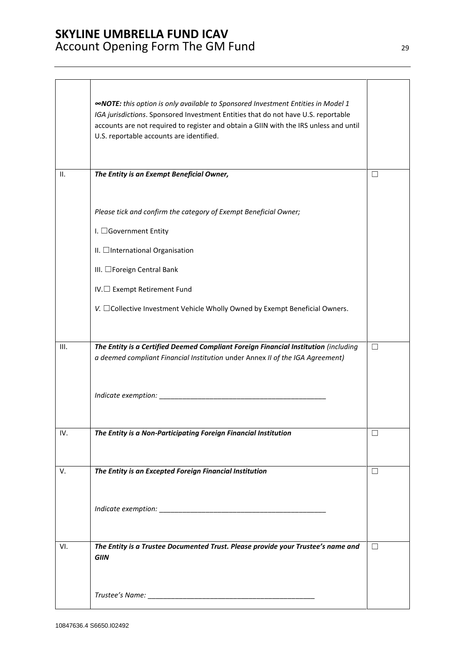|      | <b>«NOTE:</b> this option is only available to Sponsored Investment Entities in Model 1<br>IGA jurisdictions. Sponsored Investment Entities that do not have U.S. reportable<br>accounts are not required to register and obtain a GIIN with the IRS unless and until<br>U.S. reportable accounts are identified. |                   |
|------|-------------------------------------------------------------------------------------------------------------------------------------------------------------------------------------------------------------------------------------------------------------------------------------------------------------------|-------------------|
| н.   | The Entity is an Exempt Beneficial Owner,                                                                                                                                                                                                                                                                         | $\vert \ \ \vert$ |
|      | Please tick and confirm the category of Exempt Beneficial Owner;<br>I. □Government Entity<br>II. □International Organisation<br>III. □Foreign Central Bank<br>IV.□ Exempt Retirement Fund<br>V. □ Collective Investment Vehicle Wholly Owned by Exempt Beneficial Owners.                                         |                   |
|      |                                                                                                                                                                                                                                                                                                                   |                   |
| III. | The Entity is a Certified Deemed Compliant Foreign Financial Institution (including<br>a deemed compliant Financial Institution under Annex II of the IGA Agreement)                                                                                                                                              | $\Box$            |
| IV.  | The Entity is a Non-Participating Foreign Financial Institution                                                                                                                                                                                                                                                   | L.                |
| V.   | The Entity is an Excepted Foreign Financial Institution                                                                                                                                                                                                                                                           | $\vert \ \ \vert$ |
| VI.  | The Entity is a Trustee Documented Trust. Please provide your Trustee's name and<br><b>GIIN</b>                                                                                                                                                                                                                   | $\Box$            |
|      |                                                                                                                                                                                                                                                                                                                   |                   |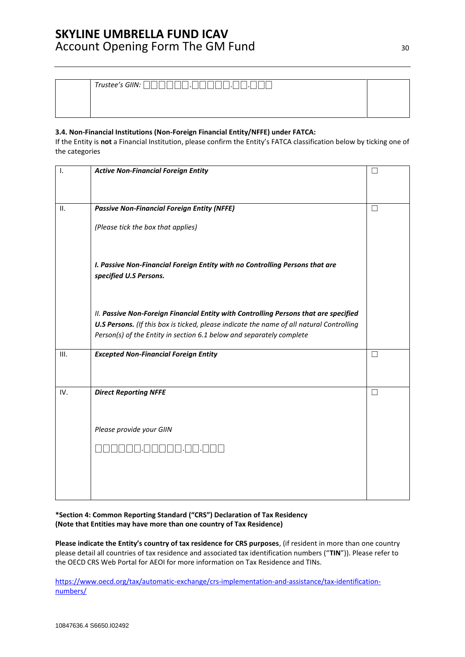| Trustee's GIIN: [ |  |
|-------------------|--|
|                   |  |
|                   |  |

### **3.4. Non-Financial Institutions (Non-Foreign Financial Entity/NFFE) under FATCA:**

If the Entity is **not** a Financial Institution, please confirm the Entity's FATCA classification below by ticking one of the categories

| ۱.   | <b>Active Non-Financial Foreign Entity</b>                                               |              |
|------|------------------------------------------------------------------------------------------|--------------|
|      |                                                                                          |              |
|      |                                                                                          |              |
| ΙΙ.  | <b>Passive Non-Financial Foreign Entity (NFFE)</b>                                       | $\mathsf{L}$ |
|      | (Please tick the box that applies)                                                       |              |
|      |                                                                                          |              |
|      | I. Passive Non-Financial Foreign Entity with no Controlling Persons that are             |              |
|      | specified U.S Persons.                                                                   |              |
|      |                                                                                          |              |
|      | II. Passive Non-Foreign Financial Entity with Controlling Persons that are specified     |              |
|      | U.S Persons. (If this box is ticked, please indicate the name of all natural Controlling |              |
|      | Person(s) of the Entity in section 6.1 below and separately complete                     |              |
| III. | <b>Excepted Non-Financial Foreign Entity</b>                                             | $\Box$       |
|      |                                                                                          |              |
|      |                                                                                          |              |
| IV.  | <b>Direct Reporting NFFE</b>                                                             | П            |
|      |                                                                                          |              |
|      | Please provide your GIIN                                                                 |              |
|      |                                                                                          |              |
|      |                                                                                          |              |
|      |                                                                                          |              |
|      |                                                                                          |              |

### **\*Section 4: Common Reporting Standard ("CRS") Declaration of Tax Residency (Note that Entities may have more than one country of Tax Residence)**

**Please indicate the Entity's country of tax residence for CRS purposes**, (if resident in more than one country please detail all countries of tax residence and associated tax identification numbers ("**TIN**")). Please refer to the OECD CRS Web Portal for AEOI for more information on Tax Residence and TINs.

[https://www.oecd.org/tax/automatic-exchange/crs-implementation-and-assistance/tax-identification](https://www.oecd.org/tax/automatic-exchange/crs-implementation-and-assistance/tax-identification-numbers/)[numbers/](https://www.oecd.org/tax/automatic-exchange/crs-implementation-and-assistance/tax-identification-numbers/)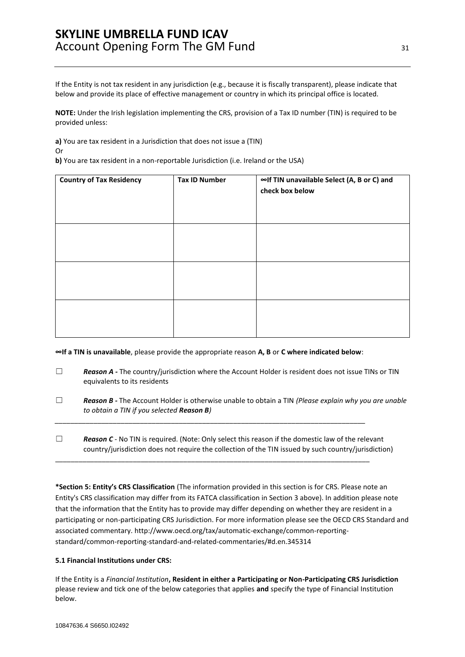If the Entity is not tax resident in any jurisdiction (e.g., because it is fiscally transparent), please indicate that below and provide its place of effective management or country in which its principal office is located.

**NOTE:** Under the Irish legislation implementing the CRS, provision of a Tax ID number (TIN) is required to be provided unless:

**a)** You are tax resident in a Jurisdiction that does not issue a (TIN)

Or **b)** You are tax resident in a non-reportable Jurisdiction (i.e. Ireland or the USA)

| <b>Country of Tax Residency</b> | <b>Tax ID Number</b> | ∞If TIN unavailable Select (A, B or C) and<br>check box below |
|---------------------------------|----------------------|---------------------------------------------------------------|
|                                 |                      |                                                               |
|                                 |                      |                                                               |
|                                 |                      |                                                               |

**∞If a TIN is unavailable**, please provide the appropriate reason **A, B** or **C where indicated below**:

*\_\_\_\_\_\_\_\_\_\_\_\_\_\_\_\_\_\_\_\_\_\_\_\_\_\_\_\_\_\_\_\_\_\_\_\_\_\_\_\_\_\_\_\_\_\_\_\_\_\_\_\_\_\_\_\_\_\_\_\_\_\_\_\_\_\_\_\_\_\_\_\_\_\_\_\_\_\_\_\_*

\_\_\_\_\_\_\_\_\_\_\_\_\_\_\_\_\_\_\_\_\_\_\_\_\_\_\_\_\_\_\_\_\_\_\_\_\_\_\_\_\_\_\_\_\_\_\_\_\_\_\_\_\_\_\_\_\_\_\_\_\_\_\_\_\_\_\_\_\_\_\_\_\_\_\_\_\_\_\_\_\_

- □ **Reason A** The country/jurisdiction where the Account Holder is resident does not issue TINs or TIN equivalents to its residents
- ☐ *Reason B -* The Account Holder is otherwise unable to obtain a TIN *(Please explain why you are unable to obtain a TIN if you selected Reason B)*
- □ **Reason C** <sup>*-*</sup> No TIN is required. (Note: Only select this reason if the domestic law of the relevant country/jurisdiction does not require the collection of the TIN issued by such country/jurisdiction)

**\*Section 5: Entity's CRS Classification** (The information provided in this section is for CRS. Please note an Entity's CRS classification may differ from its FATCA classification in Section 3 above). In addition please note that the information that the Entity has to provide may differ depending on whether they are resident in a participating or non-participating CRS Jurisdiction. For more information please see the OECD CRS Standard and associated commentary. http://www.oecd.org/tax/automatic-exchange/common-reportingstandard/common-reporting-standard-and-related-commentaries/#d.en.345314

### **5.1 Financial Institutions under CRS:**

If the Entity is a *Financial Institution***, Resident in either a Participating or Non-Participating CRS Jurisdiction**  please review and tick one of the below categories that applies **and** specify the type of Financial Institution below.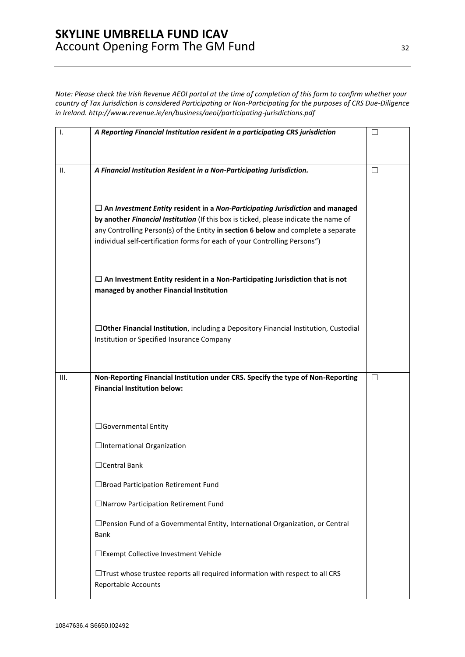*Note: Please check the Irish Revenue AEOI portal at the time of completion of this form to confirm whether your country of Tax Jurisdiction is considered Participating or Non-Participating for the purposes of CRS Due-Diligence in Ireland.<http://www.revenue.ie/en/business/aeoi/participating-jurisdictions.pdf>*

| Τ. | A Reporting Financial Institution resident in a participating CRS jurisdiction                                                                                             | $\overline{\phantom{0}}$ |
|----|----------------------------------------------------------------------------------------------------------------------------------------------------------------------------|--------------------------|
|    |                                                                                                                                                                            |                          |
| Ш. | A Financial Institution Resident in a Non-Participating Jurisdiction.                                                                                                      | $\Box$                   |
|    |                                                                                                                                                                            |                          |
|    | $\Box$ An Investment Entity resident in a Non-Participating Jurisdiction and managed                                                                                       |                          |
|    | by another Financial Institution (If this box is ticked, please indicate the name of<br>any Controlling Person(s) of the Entity in section 6 below and complete a separate |                          |
|    | individual self-certification forms for each of your Controlling Persons")                                                                                                 |                          |
|    | $\Box$ An Investment Entity resident in a Non-Participating Jurisdiction that is not<br>managed by another Financial Institution                                           |                          |
|    | $\Box$ Other Financial Institution, including a Depository Financial Institution, Custodial<br>Institution or Specified Insurance Company                                  |                          |
| Ш. | Non-Reporting Financial Institution under CRS. Specify the type of Non-Reporting                                                                                           | П                        |
|    | <b>Financial Institution below:</b>                                                                                                                                        |                          |
|    |                                                                                                                                                                            |                          |
|    | □Governmental Entity                                                                                                                                                       |                          |
|    | □International Organization                                                                                                                                                |                          |
|    | □ Central Bank                                                                                                                                                             |                          |
|    | □ Broad Participation Retirement Fund                                                                                                                                      |                          |
|    | □ Narrow Participation Retirement Fund                                                                                                                                     |                          |
|    | $\square$ Pension Fund of a Governmental Entity, International Organization, or Central<br>Bank                                                                            |                          |
|    | □ Exempt Collective Investment Vehicle                                                                                                                                     |                          |
|    | $\Box$ Trust whose trustee reports all required information with respect to all CRS<br>Reportable Accounts                                                                 |                          |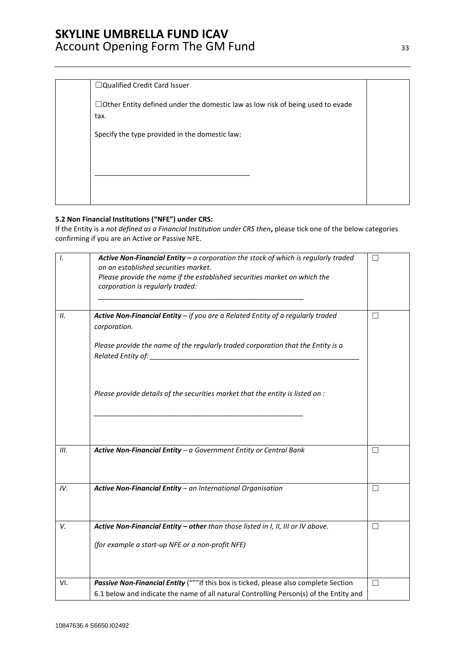| □Qualified Credit Card Issuer                                                                 |  |
|-----------------------------------------------------------------------------------------------|--|
| $\Box$ Other Entity defined under the domestic law as low risk of being used to evade<br>tax. |  |
| Specify the type provided in the domestic law:                                                |  |
|                                                                                               |  |
|                                                                                               |  |
|                                                                                               |  |

### **5.2 Non Financial Institutions ("NFE") under CRS:**

If the Entity is a *not defined as a Financial Institution under CRS then***,** please tick one of the below categories confirming if you are an Active or Passive NFE.

| $\mathbf{I}$ . | Active Non-Financial Entity $-a$ corporation the stock of which is regularly traded<br>on an established securities market.<br>Please provide the name if the established securities market on which the<br>corporation is regularly traded: | П      |
|----------------|----------------------------------------------------------------------------------------------------------------------------------------------------------------------------------------------------------------------------------------------|--------|
| Н.             | Active Non-Financial Entity $-$ if you are a Related Entity of a regularly traded<br>corporation.                                                                                                                                            | П      |
|                | Please provide the name of the regularly traded corporation that the Entity is a                                                                                                                                                             |        |
|                | Please provide details of the securities market that the entity is listed on :                                                                                                                                                               |        |
| III.           | Active Non-Financial Entity - a Government Entity or Central Bank                                                                                                                                                                            | П      |
| IV.            | Active Non-Financial Entity - an International Organisation                                                                                                                                                                                  | $\Box$ |
| V.             | Active Non-Financial Entity - other than those listed in I, II, III or IV above.                                                                                                                                                             | $\Box$ |
|                | (for example a start-up NFE or a non-profit NFE)                                                                                                                                                                                             |        |
| VI.            | Passive Non-Financial Entity ("""If this box is ticked, please also complete Section<br>6.1 below and indicate the name of all natural Controlling Person(s) of the Entity and                                                               | П      |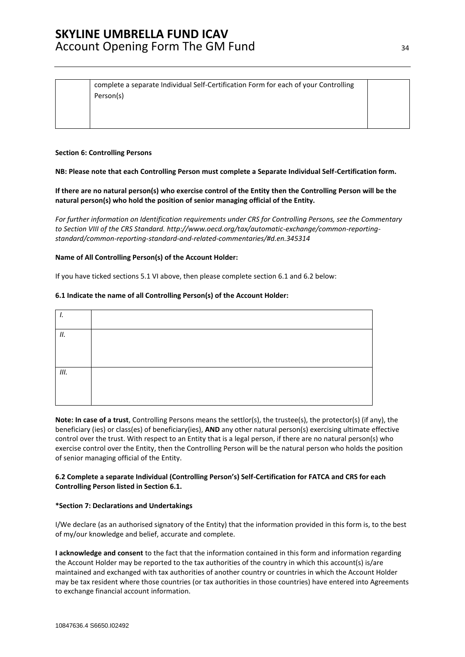| complete a separate Individual Self-Certification Form for each of your Controlling |  |
|-------------------------------------------------------------------------------------|--|
| Person(s)                                                                           |  |

#### **Section 6: Controlling Persons**

**NB: Please note that each Controlling Person must complete a Separate Individual Self-Certification form.** 

**If there are no natural person(s) who exercise control of the Entity then the Controlling Person will be the natural person(s) who hold the position of senior managing official of the Entity.** 

*For further information on Identification requirements under CRS for Controlling Persons, see the Commentary to Section VIII of the CRS Standard. [http://www.oecd.org/tax/automatic-exchange/common-reporting](http://www.oecd.org/tax/automatic-exchange/common-reporting-standard/common-reporting-standard-and-related-commentaries/#d.en.345314)[standard/common-reporting-standard-and-related-commentaries/#d.en.345314](http://www.oecd.org/tax/automatic-exchange/common-reporting-standard/common-reporting-standard-and-related-commentaries/#d.en.345314)*

#### **Name of All Controlling Person(s) of the Account Holder:**

If you have ticked sections 5.1 VI above, then please complete section 6.1 and 6.2 below:

#### **6.1 Indicate the name of all Controlling Person(s) of the Account Holder:**

| .,   |  |
|------|--|
|      |  |
| 11.  |  |
|      |  |
|      |  |
|      |  |
| III. |  |
|      |  |
|      |  |
|      |  |
|      |  |

**Note: In case of a trust**, Controlling Persons means the settlor(s), the trustee(s), the protector(s) (if any), the beneficiary (ies) or class(es) of beneficiary(ies), **AND** any other natural person(s) exercising ultimate effective control over the trust. With respect to an Entity that is a legal person, if there are no natural person(s) who exercise control over the Entity, then the Controlling Person will be the natural person who holds the position of senior managing official of the Entity.

#### **6.2 Complete a separate Individual (Controlling Person's) Self-Certification for FATCA and CRS for each Controlling Person listed in Section 6.1.**

#### **\*Section 7: Declarations and Undertakings**

I/We declare (as an authorised signatory of the Entity) that the information provided in this form is, to the best of my/our knowledge and belief, accurate and complete.

**I acknowledge and consent** to the fact that the information contained in this form and information regarding the Account Holder may be reported to the tax authorities of the country in which this account(s) is/are maintained and exchanged with tax authorities of another country or countries in which the Account Holder may be tax resident where those countries (or tax authorities in those countries) have entered into Agreements to exchange financial account information.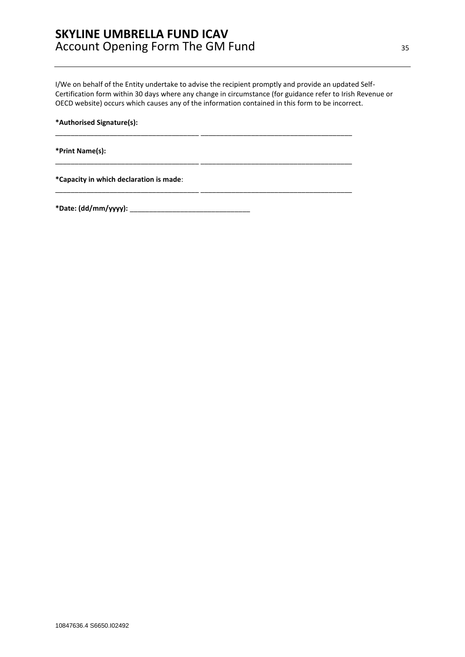I/We on behalf of the Entity undertake to advise the recipient promptly and provide an updated Self-Certification form within 30 days where any change in circumstance (for guidance refer to Irish Revenue or OECD website) occurs which causes any of the information contained in this form to be incorrect.

\_\_\_\_\_\_\_\_\_\_\_\_\_\_\_\_\_\_\_\_\_\_\_\_\_\_\_\_\_\_\_\_\_\_\_\_\_ \_\_\_\_\_\_\_\_\_\_\_\_\_\_\_\_\_\_\_\_\_\_\_\_\_\_\_\_\_\_\_\_\_\_\_\_\_\_\_

\_\_\_\_\_\_\_\_\_\_\_\_\_\_\_\_\_\_\_\_\_\_\_\_\_\_\_\_\_\_\_\_\_\_\_\_\_ \_\_\_\_\_\_\_\_\_\_\_\_\_\_\_\_\_\_\_\_\_\_\_\_\_\_\_\_\_\_\_\_\_\_\_\_\_\_\_

\_\_\_\_\_\_\_\_\_\_\_\_\_\_\_\_\_\_\_\_\_\_\_\_\_\_\_\_\_\_\_\_\_\_\_\_\_ \_\_\_\_\_\_\_\_\_\_\_\_\_\_\_\_\_\_\_\_\_\_\_\_\_\_\_\_\_\_\_\_\_\_\_\_\_\_\_

**\*Authorised Signature(s):** 

**\*Print Name(s):** 

**\*Capacity in which declaration is made**:

**\*Date: (dd/mm/yyyy):** \_\_\_\_\_\_\_\_\_\_\_\_\_\_\_\_\_\_\_\_\_\_\_\_\_\_\_\_\_\_\_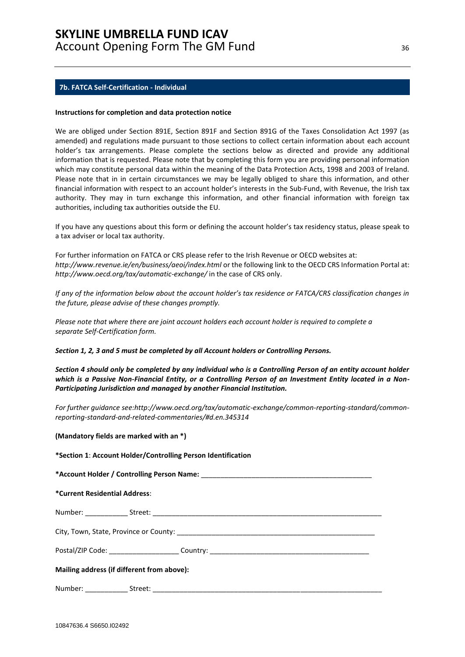#### <span id="page-35-0"></span>**7b. FATCA Self-Certification - Individual**

#### **Instructions for completion and data protection notice**

We are obliged under Section 891E, Section 891F and Section 891G of the Taxes Consolidation Act 1997 (as amended) and regulations made pursuant to those sections to collect certain information about each account holder's tax arrangements. Please complete the sections below as directed and provide any additional information that is requested. Please note that by completing this form you are providing personal information which may constitute personal data within the meaning of the Data Protection Acts, 1998 and 2003 of Ireland. Please note that in in certain circumstances we may be legally obliged to share this information, and other financial information with respect to an account holder's interests in the Sub-Fund, with Revenue, the Irish tax authority. They may in turn exchange this information, and other financial information with foreign tax authorities, including tax authorities outside the EU.

If you have any questions about this form or defining the account holder's tax residency status, please speak to a tax adviser or local tax authority.

For further information on FATCA or CRS please refer to the Irish Revenue or OECD websites at: *http://www.revenue.ie/en/business/aeoi/index.html* or the following link to the OECD CRS Information Portal at: *http://www.oecd.org/tax/automatic-exchange/* in the case of CRS only.

*If any of the information below about the account holder's tax residence or FATCA/CRS classification changes in the future, please advise of these changes promptly.*

*Please note that where there are joint account holders each account holder is required to complete a separate Self-Certification form.* 

#### *Section 1, 2, 3 and 5 must be completed by all Account holders or Controlling Persons.*

*Section 4 should only be completed by any individual who is a Controlling Person of an entity account holder which is a Passive Non-Financial Entity, or a Controlling Person of an Investment Entity located in a Non-Participating Jurisdiction and managed by another Financial Institution.* 

*For further guidance see:http://www.oecd.org/tax/automatic-exchange/common-reporting-standard/commonreporting-standard-and-related-commentaries/#d.en.345314* 

#### **(Mandatory fields are marked with an \*)**

| *Section 1: Account Holder/Controlling Person Identification |  |  |  |  |
|--------------------------------------------------------------|--|--|--|--|
|                                                              |  |  |  |  |
| *Current Residential Address:                                |  |  |  |  |
|                                                              |  |  |  |  |
|                                                              |  |  |  |  |
|                                                              |  |  |  |  |
| Mailing address (if different from above):                   |  |  |  |  |
|                                                              |  |  |  |  |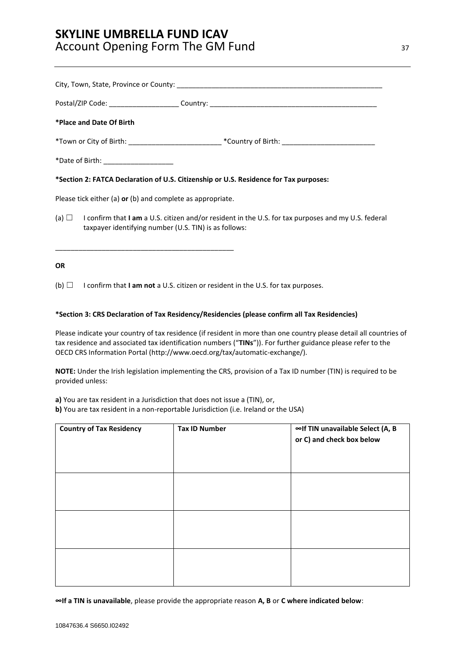|           | *Place and Date Of Birth                                                                                             |                                                                                                                |
|-----------|----------------------------------------------------------------------------------------------------------------------|----------------------------------------------------------------------------------------------------------------|
|           |                                                                                                                      |                                                                                                                |
|           | *Date of Birth: ______________________                                                                               |                                                                                                                |
|           |                                                                                                                      | *Section 2: FATCA Declaration of U.S. Citizenship or U.S. Residence for Tax purposes:                          |
|           | Please tick either (a) or (b) and complete as appropriate.                                                           |                                                                                                                |
|           | taxpayer identifying number (U.S. TIN) is as follows:<br><u> 1989 - Johann Stoff, Amerikaansk politiker (* 1908)</u> | (a) $\Box$ I confirm that I am a U.S. citizen and/or resident in the U.S. for tax purposes and my U.S. federal |
| <b>OR</b> |                                                                                                                      |                                                                                                                |
|           |                                                                                                                      | (b) $\Box$ I confirm that I am not a U.S. citizen or resident in the U.S. for tax purposes.                    |

### **\*Section 3: CRS Declaration of Tax Residency/Residencies (please confirm all Tax Residencies)**

Please indicate your country of tax residence (if resident in more than one country please detail all countries of tax residence and associated tax identification numbers ("**TINs**")). For further guidance please refer to the OECD CRS Information Portal [\(http://www.oecd.org/tax/automatic-exchange/\)](http://www.oecd.org/tax/automatic-exchange/).

**NOTE:** Under the Irish legislation implementing the CRS, provision of a Tax ID number (TIN) is required to be provided unless:

**a)** You are tax resident in a Jurisdiction that does not issue a (TIN), or,

**b)** You are tax resident in a non-reportable Jurisdiction (i.e. Ireland or the USA)

| <b>Country of Tax Residency</b> | <b>Tax ID Number</b> | ∞If TIN unavailable Select (A, B<br>or C) and check box below |
|---------------------------------|----------------------|---------------------------------------------------------------|
|                                 |                      |                                                               |
|                                 |                      |                                                               |
|                                 |                      |                                                               |

**∞If a TIN is unavailable**, please provide the appropriate reason **A, B** or **C where indicated below**: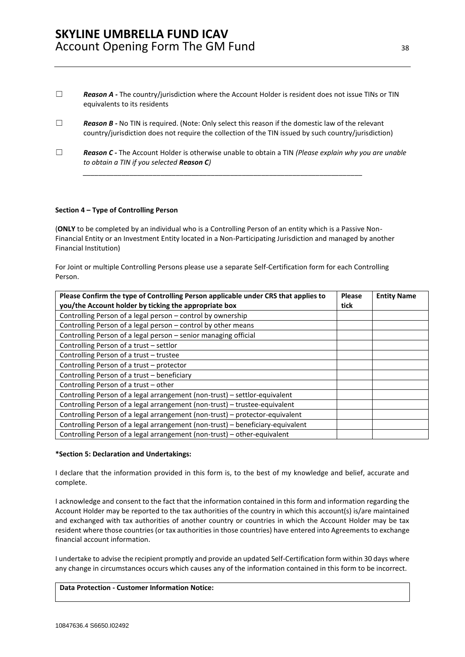- □ **Reason A** The country/jurisdiction where the Account Holder is resident does not issue TINs or TIN equivalents to its residents
- □ **Reason B** No TIN is required. (Note: Only select this reason if the domestic law of the relevant country/jurisdiction does not require the collection of the TIN issued by such country/jurisdiction)

*\_\_\_\_\_\_\_\_\_\_\_\_\_\_\_\_\_\_\_\_\_\_\_\_\_\_\_\_\_\_\_\_\_\_\_\_\_\_\_\_\_\_\_\_\_\_\_\_\_\_\_\_\_\_\_\_\_\_\_\_\_\_\_\_\_\_\_\_\_\_\_\_*

☐ *Reason C -* The Account Holder is otherwise unable to obtain a TIN *(Please explain why you are unable to obtain a TIN if you selected Reason C)* 

#### **Section 4 – Type of Controlling Person**

(**ONLY** to be completed by an individual who is a Controlling Person of an entity which is a Passive Non-Financial Entity or an Investment Entity located in a Non-Participating Jurisdiction and managed by another Financial Institution)

For Joint or multiple Controlling Persons please use a separate Self-Certification form for each Controlling Person.

| Please Confirm the type of Controlling Person applicable under CRS that applies to | <b>Please</b> | <b>Entity Name</b> |
|------------------------------------------------------------------------------------|---------------|--------------------|
| you/the Account holder by ticking the appropriate box                              | tick          |                    |
| Controlling Person of a legal person - control by ownership                        |               |                    |
| Controlling Person of a legal person - control by other means                      |               |                    |
| Controlling Person of a legal person - senior managing official                    |               |                    |
| Controlling Person of a trust - settlor                                            |               |                    |
| Controlling Person of a trust - trustee                                            |               |                    |
| Controlling Person of a trust - protector                                          |               |                    |
| Controlling Person of a trust - beneficiary                                        |               |                    |
| Controlling Person of a trust - other                                              |               |                    |
| Controlling Person of a legal arrangement (non-trust) - settlor-equivalent         |               |                    |
| Controlling Person of a legal arrangement (non-trust) - trustee-equivalent         |               |                    |
| Controlling Person of a legal arrangement (non-trust) - protector-equivalent       |               |                    |
| Controlling Person of a legal arrangement (non-trust) - beneficiary-equivalent     |               |                    |
| Controlling Person of a legal arrangement (non-trust) – other-equivalent           |               |                    |

#### **\*Section 5: Declaration and Undertakings:**

I declare that the information provided in this form is, to the best of my knowledge and belief, accurate and complete.

I acknowledge and consent to the fact that the information contained in this form and information regarding the Account Holder may be reported to the tax authorities of the country in which this account(s) is/are maintained and exchanged with tax authorities of another country or countries in which the Account Holder may be tax resident where those countries (or tax authorities in those countries) have entered into Agreements to exchange financial account information.

I undertake to advise the recipient promptly and provide an updated Self-Certification form within 30 days where any change in circumstances occurs which causes any of the information contained in this form to be incorrect.

### **Data Protection - Customer Information Notice:**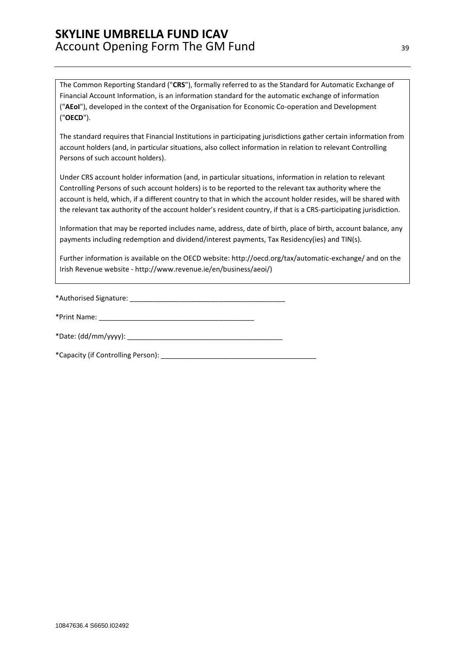The Common Reporting Standard ("**CRS**"), formally referred to as the Standard for Automatic Exchange of Financial Account Information, is an information standard for the automatic exchange of information ("**AEoI**"), developed in the context of the Organisation for Economic Co-operation and Development ("**OECD**").

The standard requires that Financial Institutions in participating jurisdictions gather certain information from account holders (and, in particular situations, also collect information in relation to relevant Controlling Persons of such account holders).

Under CRS account holder information (and, in particular situations, information in relation to relevant Controlling Persons of such account holders) is to be reported to the relevant tax authority where the account is held, which, if a different country to that in which the account holder resides, will be shared with the relevant tax authority of the account holder's resident country, if that is a CRS-participating jurisdiction.

Information that may be reported includes name, address, date of birth, place of birth, account balance, any payments including redemption and dividend/interest payments, Tax Residency(ies) and TIN(s).

Further information is available on the OECD website: http://oecd.org/tax/automatic-exchange/ and on the Irish Revenue website - [http://www.revenue.ie/en/business/aeoi/\)](http://www.revenue.ie/en/business/aeoi/)

\*Authorised Signature: \_\_\_\_\_\_\_\_\_\_\_\_\_\_\_\_\_\_\_\_\_\_\_\_\_\_\_\_\_\_\_\_\_\_\_\_\_\_\_\_

\*Print Name: <u>and the set of the set of the set of the set of the set of the set of the set of the set of the set of the set of the set of the set of the set of the set of the set of the set of the set of the set of the se</u>

\*Date: (dd/mm/yyyy): \_\_\_\_\_\_\_\_\_\_\_\_\_\_\_\_\_\_\_\_\_\_\_\_\_\_\_\_\_\_\_\_\_\_\_\_\_\_\_\_

\*Capacity (if Controlling Person): \_\_\_\_\_\_\_\_\_\_\_\_\_\_\_\_\_\_\_\_\_\_\_\_\_\_\_\_\_\_\_\_\_\_\_\_\_\_\_\_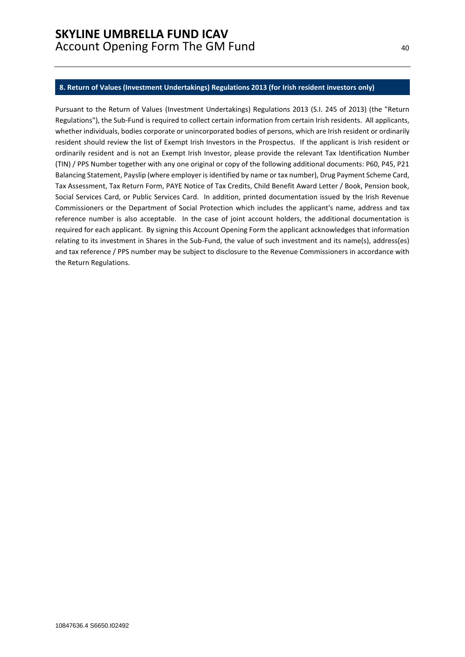#### <span id="page-39-0"></span>**8. Return of Values (Investment Undertakings) Regulations 2013 (for Irish resident investors only)**

Pursuant to the Return of Values (Investment Undertakings) Regulations 2013 (S.I. 245 of 2013) (the "Return Regulations"), the Sub-Fund is required to collect certain information from certain Irish residents. All applicants, whether individuals, bodies corporate or unincorporated bodies of persons, which are Irish resident or ordinarily resident should review the list of Exempt Irish Investors in the Prospectus. If the applicant is Irish resident or ordinarily resident and is not an Exempt Irish Investor, please provide the relevant Tax Identification Number (TIN) / PPS Number together with any one original or copy of the following additional documents: P60, P45, P21 Balancing Statement, Payslip (where employer is identified by name or tax number), Drug Payment Scheme Card, Tax Assessment, Tax Return Form, PAYE Notice of Tax Credits, Child Benefit Award Letter / Book, Pension book, Social Services Card, or Public Services Card. In addition, printed documentation issued by the Irish Revenue Commissioners or the Department of Social Protection which includes the applicant's name, address and tax reference number is also acceptable. In the case of joint account holders, the additional documentation is required for each applicant. By signing this Account Opening Form the applicant acknowledges that information relating to its investment in Shares in the Sub-Fund, the value of such investment and its name(s), address(es) and tax reference / PPS number may be subject to disclosure to the Revenue Commissioners in accordance with the Return Regulations.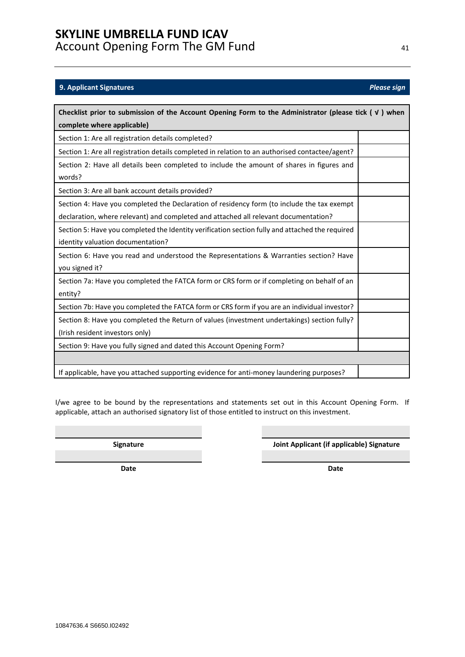# <span id="page-40-0"></span>**9. Applicant Signatures** *Please sign*

| Checklist prior to submission of the Account Opening Form to the Administrator (please tick $(\nu)$ when |  |  |  |  |
|----------------------------------------------------------------------------------------------------------|--|--|--|--|
| complete where applicable)                                                                               |  |  |  |  |
| Section 1: Are all registration details completed?                                                       |  |  |  |  |
| Section 1: Are all registration details completed in relation to an authorised contactee/agent?          |  |  |  |  |
| Section 2: Have all details been completed to include the amount of shares in figures and                |  |  |  |  |
| words?                                                                                                   |  |  |  |  |
| Section 3: Are all bank account details provided?                                                        |  |  |  |  |
| Section 4: Have you completed the Declaration of residency form (to include the tax exempt               |  |  |  |  |
| declaration, where relevant) and completed and attached all relevant documentation?                      |  |  |  |  |
| Section 5: Have you completed the Identity verification section fully and attached the required          |  |  |  |  |
| identity valuation documentation?                                                                        |  |  |  |  |
| Section 6: Have you read and understood the Representations & Warranties section? Have                   |  |  |  |  |
| you signed it?                                                                                           |  |  |  |  |
| Section 7a: Have you completed the FATCA form or CRS form or if completing on behalf of an               |  |  |  |  |
| entity?                                                                                                  |  |  |  |  |
| Section 7b: Have you completed the FATCA form or CRS form if you are an individual investor?             |  |  |  |  |
| Section 8: Have you completed the Return of values (investment undertakings) section fully?              |  |  |  |  |
| (Irish resident investors only)                                                                          |  |  |  |  |
| Section 9: Have you fully signed and dated this Account Opening Form?                                    |  |  |  |  |
|                                                                                                          |  |  |  |  |
| If applicable, have you attached supporting evidence for anti-money laundering purposes?                 |  |  |  |  |

I/we agree to be bound by the representations and statements set out in this Account Opening Form. If applicable, attach an authorised signatory list of those entitled to instruct on this investment.

**Signature Joint Applicant (if applicable) Signature**

**Date Date**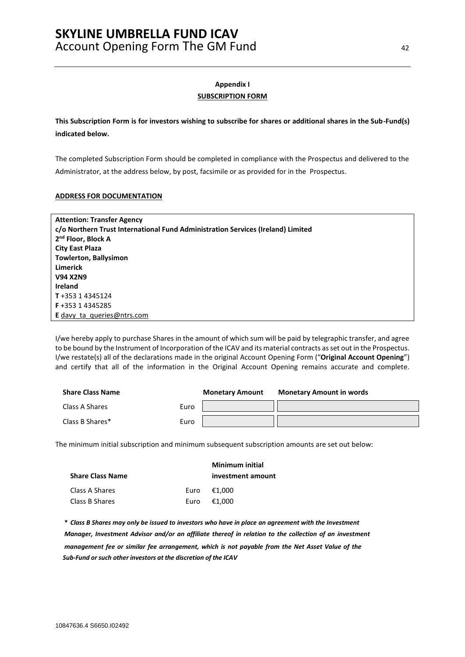# **Appendix I SUBSCRIPTION FORM**

<span id="page-41-0"></span>**This Subscription Form is for investors wishing to subscribe for shares or additional shares in the Sub-Fund(s) indicated below.**

The completed Subscription Form should be completed in compliance with the Prospectus and delivered to the Administrator, at the address below, by post, facsimile or as provided for in the Prospectus.

#### **ADDRESS FOR DOCUMENTATION**

| <b>Attention: Transfer Agency</b>                                               |
|---------------------------------------------------------------------------------|
| c/o Northern Trust International Fund Administration Services (Ireland) Limited |
| 2 <sup>nd</sup> Floor, Block A                                                  |
| <b>City East Plaza</b>                                                          |
| <b>Towlerton, Ballysimon</b>                                                    |
| <b>Limerick</b>                                                                 |
| <b>V94 X2N9</b>                                                                 |
| <b>Ireland</b>                                                                  |
| T+353 14345124                                                                  |
| <b>F</b> +353 1 4345285                                                         |
| <b>E</b> davy ta queries @ ntrs.com                                             |

I/we hereby apply to purchase Shares in the amount of which sum will be paid by telegraphic transfer, and agree to be bound by the Instrument of Incorporation of the ICAV and its material contracts as set out in the Prospectus. I/we restate(s) all of the declarations made in the original Account Opening Form ("**Original Account Opening**") and certify that all of the information in the Original Account Opening remains accurate and complete.

| <b>Share Class Name</b> |      | <b>Monetary Amount</b> | <b>Monetary Amount in words</b> |
|-------------------------|------|------------------------|---------------------------------|
| Class A Shares          | Euro |                        |                                 |
| Class B Shares*         | Euro |                        |                                 |

The minimum initial subscription and minimum subsequent subscription amounts are set out below:

| <b>Share Class Name</b> |      | Minimum initial<br>investment amount |
|-------------------------|------|--------------------------------------|
| Class A Shares          |      | Euro €1.000                          |
| Class B Shares          | Euro | €1.000                               |

\* Class B Shares may only be issued to investors who have in place an agreement with the Investment *Manager, Investment Advisor and/or an affiliate thereof in relation to the collection of an investment management fee or similar fee arrangement, which is not payable from the Net Asset Value of the Sub-Fund orsuch other investors at the discretion of the ICAV*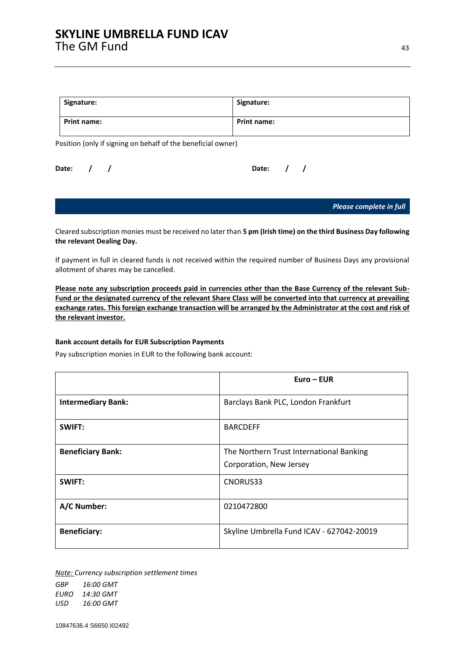| Signature:         | Signature:         |
|--------------------|--------------------|
| <b>Print name:</b> | <b>Print name:</b> |

Position (only if signing on behalf of the beneficial owner)

| Date: / |  |  | Date: $/ /$ |  |
|---------|--|--|-------------|--|
|         |  |  |             |  |

*Please complete in full*

Cleared subscription monies must be received no later than **5 pm (Irish time) on the third Business Day following the relevant Dealing Day.**

If payment in full in cleared funds is not received within the required number of Business Days any provisional allotment of shares may be cancelled.

**Please note any subscription proceeds paid in currencies other than the Base Currency of the relevant Sub-Fund or the designated currency of the relevant Share Class will be converted into that currency at prevailing exchange rates. This foreign exchange transaction will be arranged by the Administrator at the cost and risk of the relevant investor.**

#### **Bank account details for EUR Subscription Payments**

Pay subscription monies in EUR to the following bank account:

|                           | $Euro - EUR$                                                        |
|---------------------------|---------------------------------------------------------------------|
| <b>Intermediary Bank:</b> | Barclays Bank PLC, London Frankfurt                                 |
| SWIFT:                    | <b>BARCDEFF</b>                                                     |
| <b>Beneficiary Bank:</b>  | The Northern Trust International Banking<br>Corporation, New Jersey |
| SWIFT:                    | CNORUS33                                                            |
| A/C Number:               | 0210472800                                                          |
| <b>Beneficiary:</b>       | Skyline Umbrella Fund ICAV - 627042-20019                           |

*Note: Currency subscription settlement times*

*GBP 16:00 GMT EURO 14:30 GMT USD 16:00 GMT*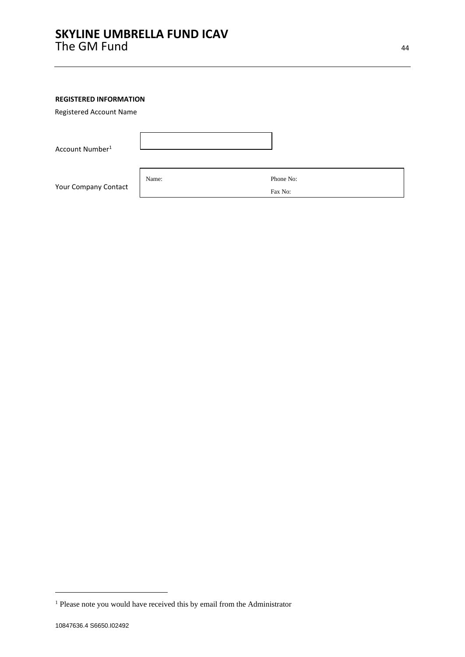### **REGISTERED INFORMATION**

Registered Account Name

| Account Number <sup>1</sup> |       |           |
|-----------------------------|-------|-----------|
|                             | Name: | Phone No: |
| Your Company Contact        |       | Fax No:   |

<sup>&</sup>lt;sup>1</sup> Please note you would have received this by email from the Administrator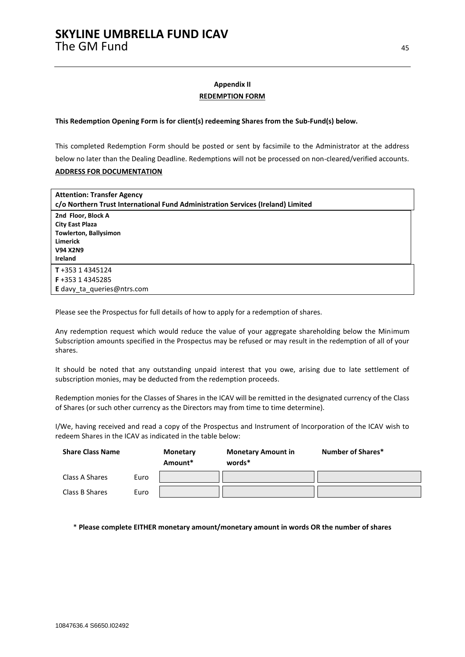### **Appendix II REDEMPTION FORM**

#### <span id="page-44-0"></span>**This Redemption Opening Form is for client(s) redeeming Shares from the Sub-Fund(s) below.**

This completed Redemption Form should be posted or sent by facsimile to the Administrator at the address below no later than the Dealing Deadline. Redemptions will not be processed on non-cleared/verified accounts. **ADDRESS FOR DOCUMENTATION**

| <b>Attention: Transfer Agency</b><br>c/o Northern Trust International Fund Administration Services (Ireland) Limited   |  |  |  |
|------------------------------------------------------------------------------------------------------------------------|--|--|--|
| 2nd Floor, Block A<br><b>City East Plaza</b><br><b>Towlerton, Ballysimon</b><br><b>Limerick</b><br>V94 X2N9<br>Ireland |  |  |  |
| $T + 35314345124$<br>F+353 14345285<br>E davy_ta_queries@ntrs.com                                                      |  |  |  |

Please see the Prospectus for full details of how to apply for a redemption of shares.

Any redemption request which would reduce the value of your aggregate shareholding below the Minimum Subscription amounts specified in the Prospectus may be refused or may result in the redemption of all of your shares.

It should be noted that any outstanding unpaid interest that you owe, arising due to late settlement of subscription monies, may be deducted from the redemption proceeds.

Redemption monies for the Classes of Shares in the ICAV will be remitted in the designated currency of the Class of Shares (or such other currency as the Directors may from time to time determine).

I/We, having received and read a copy of the Prospectus and Instrument of Incorporation of the ICAV wish to redeem Shares in the ICAV as indicated in the table below:

| <b>Share Class Name</b> |      | Monetary<br>Amount* | <b>Monetary Amount in</b><br>words* | Number of Shares* |  |
|-------------------------|------|---------------------|-------------------------------------|-------------------|--|
| Class A Shares          | Euro |                     |                                     |                   |  |
| Class B Shares          | Euro |                     |                                     |                   |  |

\* **Please complete EITHER monetary amount/monetary amount in words OR the number of shares**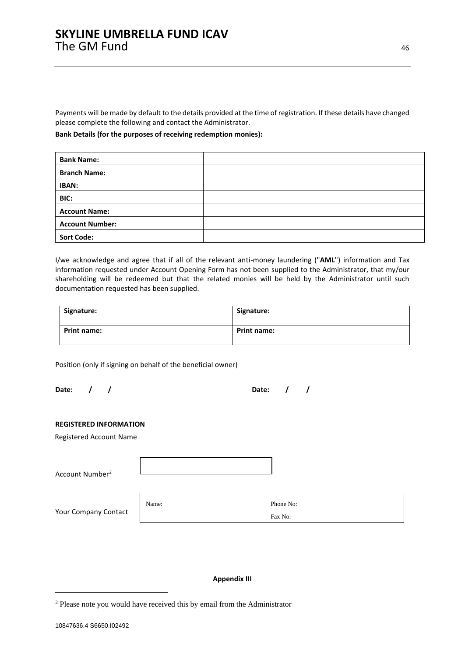Payments will be made by default to the details provided at the time of registration. If these details have changed please complete the following and contact the Administrator.

#### **Bank Details (for the purposes of receiving redemption monies):**

| <b>Bank Name:</b>      |  |
|------------------------|--|
| <b>Branch Name:</b>    |  |
| <b>IBAN:</b>           |  |
| BIC:                   |  |
| <b>Account Name:</b>   |  |
| <b>Account Number:</b> |  |
| <b>Sort Code:</b>      |  |

I/we acknowledge and agree that if all of the relevant anti-money laundering ("**AML**") information and Tax information requested under Account Opening Form has not been supplied to the Administrator, that my/our shareholding will be redeemed but that the related monies will be held by the Administrator until such documentation requested has been supplied.

| Signature:  | Signature:         |
|-------------|--------------------|
| Print name: | <b>Print name:</b> |

Position (only if signing on behalf of the beneficial owner)

| Date: / |  | Date: $/$ / |  |
|---------|--|-------------|--|
|         |  |             |  |

#### **REGISTERED INFORMATION**

Registered Account Name

| Account Number <sup>2</sup> |       |                      |
|-----------------------------|-------|----------------------|
| Your Company Contact        | Name: | Phone No:<br>Fax No: |

### **Appendix III**

<span id="page-45-0"></span><sup>2</sup> Please note you would have received this by email from the Administrator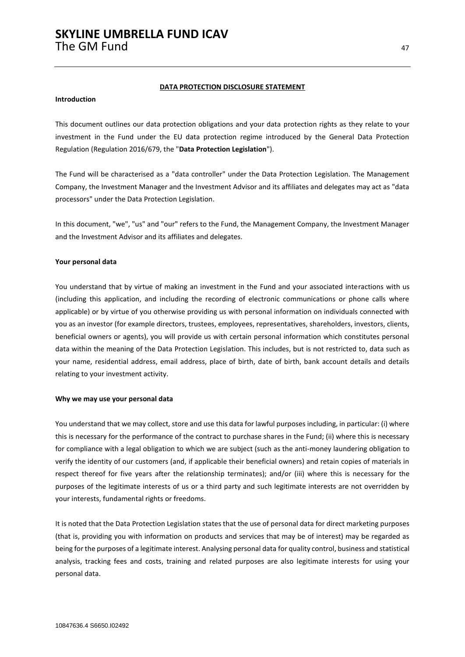#### **DATA PROTECTION DISCLOSURE STATEMENT**

### **Introduction**

This document outlines our data protection obligations and your data protection rights as they relate to your investment in the Fund under the EU data protection regime introduced by the General Data Protection Regulation (Regulation 2016/679, the "**Data Protection Legislation**").

The Fund will be characterised as a "data controller" under the Data Protection Legislation. The Management Company, the Investment Manager and the Investment Advisor and its affiliates and delegates may act as "data processors" under the Data Protection Legislation.

In this document, "we", "us" and "our" refers to the Fund, the Management Company, the Investment Manager and the Investment Advisor and its affiliates and delegates.

#### **Your personal data**

You understand that by virtue of making an investment in the Fund and your associated interactions with us (including this application, and including the recording of electronic communications or phone calls where applicable) or by virtue of you otherwise providing us with personal information on individuals connected with you as an investor (for example directors, trustees, employees, representatives, shareholders, investors, clients, beneficial owners or agents), you will provide us with certain personal information which constitutes personal data within the meaning of the Data Protection Legislation. This includes, but is not restricted to, data such as your name, residential address, email address, place of birth, date of birth, bank account details and details relating to your investment activity.

#### **Why we may use your personal data**

You understand that we may collect, store and use this data for lawful purposes including, in particular: (i) where this is necessary for the performance of the contract to purchase shares in the Fund; (ii) where this is necessary for compliance with a legal obligation to which we are subject (such as the anti-money laundering obligation to verify the identity of our customers (and, if applicable their beneficial owners) and retain copies of materials in respect thereof for five years after the relationship terminates); and/or (iii) where this is necessary for the purposes of the legitimate interests of us or a third party and such legitimate interests are not overridden by your interests, fundamental rights or freedoms.

It is noted that the Data Protection Legislation states that the use of personal data for direct marketing purposes (that is, providing you with information on products and services that may be of interest) may be regarded as being for the purposes of a legitimate interest. Analysing personal data for quality control, business and statistical analysis, tracking fees and costs, training and related purposes are also legitimate interests for using your personal data.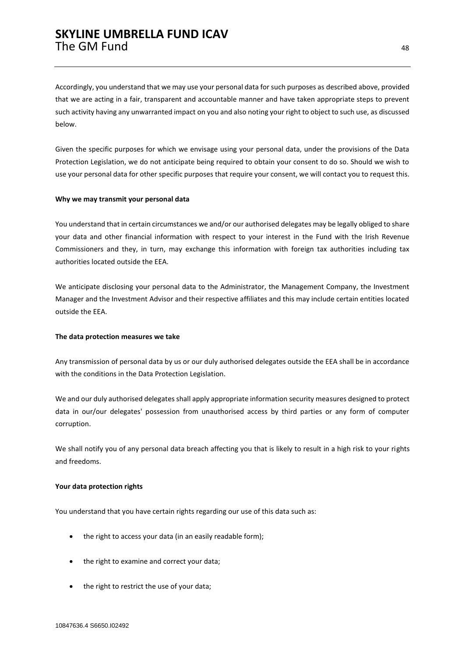Accordingly, you understand that we may use your personal data for such purposes as described above, provided that we are acting in a fair, transparent and accountable manner and have taken appropriate steps to prevent such activity having any unwarranted impact on you and also noting your right to object to such use, as discussed below.

Given the specific purposes for which we envisage using your personal data, under the provisions of the Data Protection Legislation, we do not anticipate being required to obtain your consent to do so. Should we wish to use your personal data for other specific purposes that require your consent, we will contact you to request this.

#### **Why we may transmit your personal data**

You understand that in certain circumstances we and/or our authorised delegates may be legally obliged to share your data and other financial information with respect to your interest in the Fund with the Irish Revenue Commissioners and they, in turn, may exchange this information with foreign tax authorities including tax authorities located outside the EEA.

We anticipate disclosing your personal data to the Administrator, the Management Company, the Investment Manager and the Investment Advisor and their respective affiliates and this may include certain entities located outside the EEA.

#### **The data protection measures we take**

Any transmission of personal data by us or our duly authorised delegates outside the EEA shall be in accordance with the conditions in the Data Protection Legislation.

We and our duly authorised delegates shall apply appropriate information security measures designed to protect data in our/our delegates' possession from unauthorised access by third parties or any form of computer corruption.

We shall notify you of any personal data breach affecting you that is likely to result in a high risk to your rights and freedoms.

#### **Your data protection rights**

You understand that you have certain rights regarding our use of this data such as:

- the right to access your data (in an easily readable form);
- the right to examine and correct your data;
- the right to restrict the use of your data;